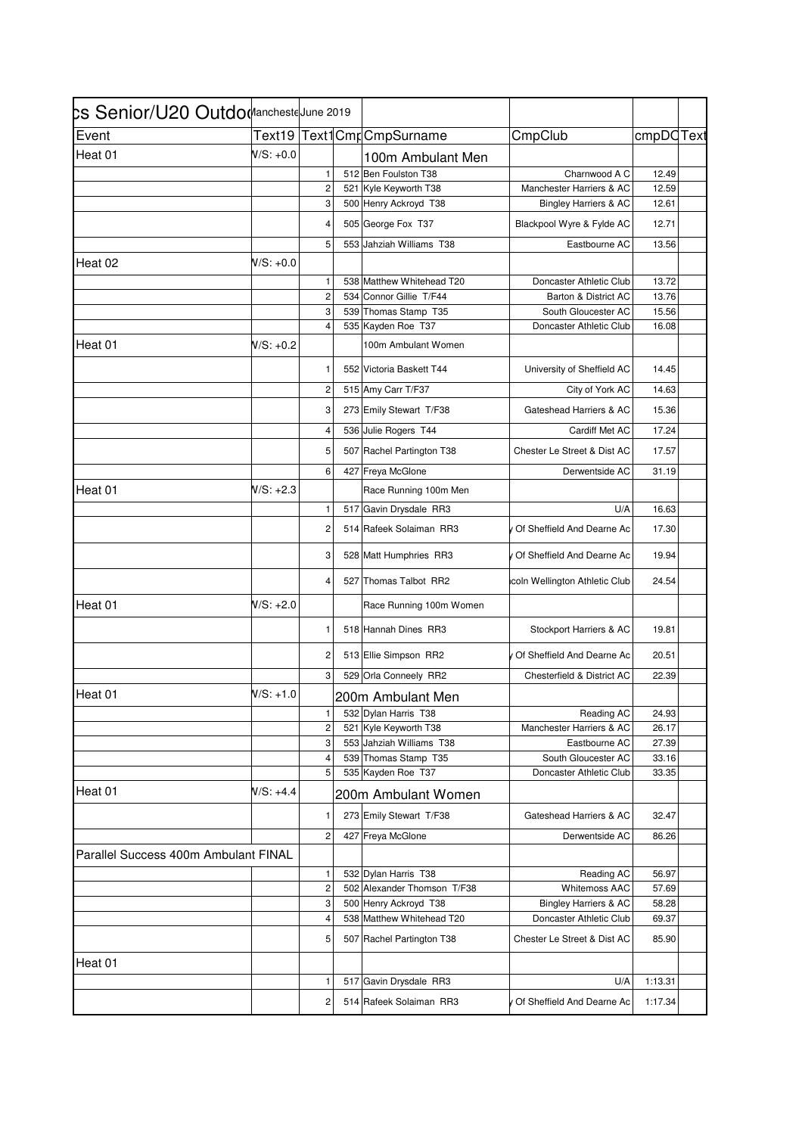| <b>Senior/U20 Outdo (</b> Aancheste June 2019 |             |                         |                             |                                  |           |
|-----------------------------------------------|-------------|-------------------------|-----------------------------|----------------------------------|-----------|
| Event                                         |             |                         | Text19 Text1Cmr CmpSurname  | CmpClub                          | cmpDCText |
| Heat 01                                       | $N/S: +0.0$ |                         | 100m Ambulant Men           |                                  |           |
|                                               |             | 1                       | 512 Ben Foulston T38        | Charnwood A C                    | 12.49     |
|                                               |             | $\boldsymbol{2}$        | 521 Kyle Keyworth T38       | Manchester Harriers & AC         | 12.59     |
|                                               |             | 3                       | 500 Henry Ackroyd T38       | <b>Bingley Harriers &amp; AC</b> | 12.61     |
|                                               |             | 4                       | 505 George Fox T37          | Blackpool Wyre & Fylde AC        | 12.71     |
|                                               |             | 5                       | 553 Jahziah Williams T38    | Eastbourne AC                    | 13.56     |
| Heat 02                                       | W/S: +0.0   |                         |                             |                                  |           |
|                                               |             | $\mathbf{1}$            | 538 Matthew Whitehead T20   | Doncaster Athletic Club          | 13.72     |
|                                               |             | $\overline{c}$          | 534 Connor Gillie T/F44     | Barton & District AC             | 13.76     |
|                                               |             | 3                       | 539 Thomas Stamp T35        | South Gloucester AC              | 15.56     |
|                                               |             | 4                       | 535 Kayden Roe T37          | Doncaster Athletic Club          | 16.08     |
| Heat 01                                       | N/S: +0.2   |                         | 100m Ambulant Women         |                                  |           |
|                                               |             | 1                       | 552 Victoria Baskett T44    | University of Sheffield AC       | 14.45     |
|                                               |             | 2                       | 515 Amy Carr T/F37          | City of York AC                  | 14.63     |
|                                               |             | 3                       | 273 Emily Stewart T/F38     | Gateshead Harriers & AC          | 15.36     |
|                                               |             | 4                       | 536 Julie Rogers T44        | Cardiff Met AC                   | 17.24     |
|                                               |             | 5                       | 507 Rachel Partington T38   | Chester Le Street & Dist AC      | 17.57     |
|                                               |             | 6                       | 427 Freya McGlone           | Derwentside AC                   | 31.19     |
| Heat 01                                       | $N/S: +2.3$ |                         | Race Running 100m Men       |                                  |           |
|                                               |             | 1                       | 517 Gavin Drysdale RR3      | U/A                              | 16.63     |
|                                               |             | 2                       | 514 Rafeek Solaiman RR3     | Of Sheffield And Dearne Ac       | 17.30     |
|                                               |             | 3                       | 528 Matt Humphries RR3      | Of Sheffield And Dearne Ac       | 19.94     |
|                                               |             | 4                       | 527 Thomas Talbot RR2       | icoln Wellington Athletic Club   | 24.54     |
| Heat 01                                       | $N/S: +2.0$ |                         | Race Running 100m Women     |                                  |           |
|                                               |             | 1                       | 518 Hannah Dines RR3        | Stockport Harriers & AC          | 19.81     |
|                                               |             | $\overline{\mathbf{c}}$ | 513 Ellie Simpson RR2       | Of Sheffield And Dearne Ac       | 20.51     |
|                                               |             | 3                       | 529 Orla Conneely RR2       | Chesterfield & District AC       | 22.39     |
| Heat 01                                       | $N/S: +1.0$ |                         | 200m Ambulant Men           |                                  |           |
|                                               |             | 1                       | 532 Dylan Harris T38        | Reading AC                       | 24.93     |
|                                               |             | 2                       | 521 Kyle Keyworth T38       | Manchester Harriers & AC         | 26.17     |
|                                               |             | 3                       | 553 Jahziah Williams T38    | Eastbourne AC                    | 27.39     |
|                                               |             | $\overline{4}$          | 539 Thomas Stamp T35        | South Gloucester AC              | 33.16     |
|                                               |             | 5                       | 535 Kayden Roe T37          | Doncaster Athletic Club          | 33.35     |
| Heat 01                                       | $N/S: +4.4$ |                         | 200m Ambulant Women         |                                  |           |
|                                               |             | 1                       | 273 Emily Stewart T/F38     | Gateshead Harriers & AC          | 32.47     |
|                                               |             | $\mathbf 2$             | 427 Freya McGlone           | Derwentside AC                   | 86.26     |
| Parallel Success 400m Ambulant FINAL          |             |                         |                             |                                  |           |
|                                               |             | 1                       | 532 Dylan Harris T38        | Reading AC                       | 56.97     |
|                                               |             | $\overline{c}$          | 502 Alexander Thomson T/F38 | Whitemoss AAC                    | 57.69     |
|                                               |             | 3                       | 500 Henry Ackroyd T38       | Bingley Harriers & AC            | 58.28     |
|                                               |             | 4                       | 538 Matthew Whitehead T20   | Doncaster Athletic Club          | 69.37     |
|                                               |             | 5                       | 507 Rachel Partington T38   | Chester Le Street & Dist AC      | 85.90     |
| Heat 01                                       |             |                         |                             |                                  |           |
|                                               |             | 1                       | 517 Gavin Drysdale RR3      | U/A                              | 1:13.31   |
|                                               |             | 2                       | 514 Rafeek Solaiman RR3     | Of Sheffield And Dearne Ac       | 1:17.34   |
|                                               |             |                         |                             |                                  |           |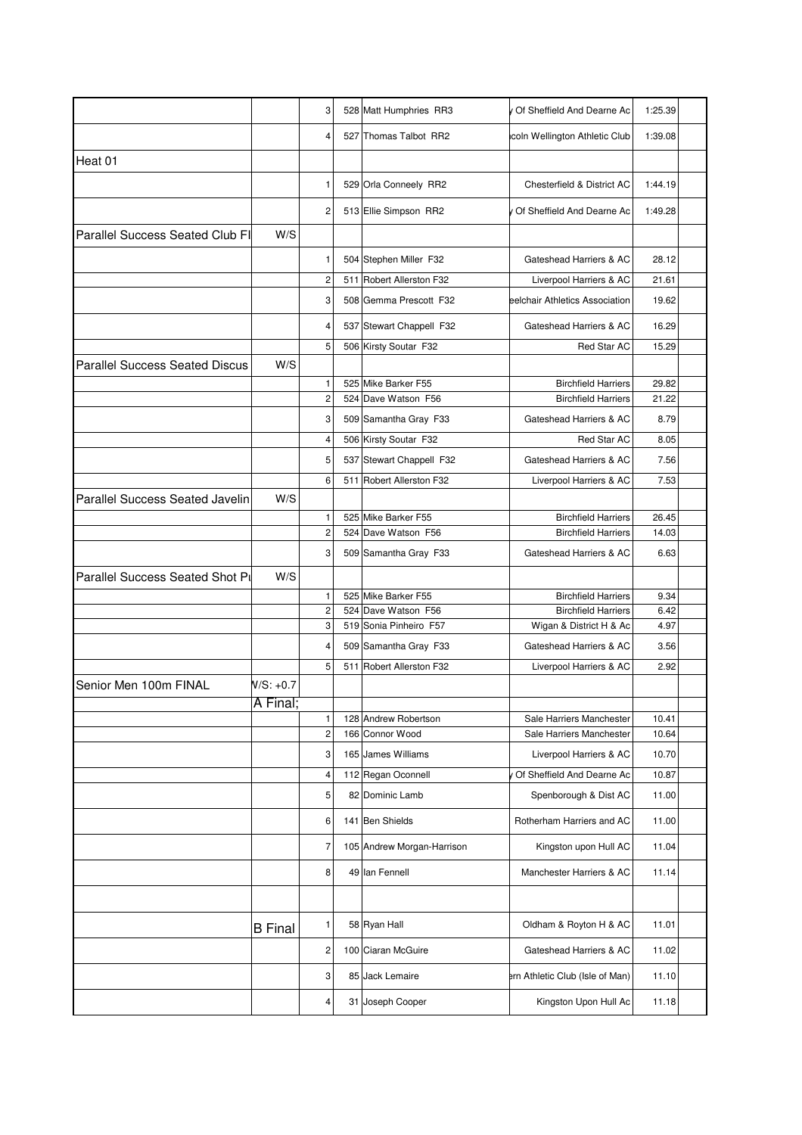|                                        |                | 3                   |     | 528 Matt Humphries RR3                  | Of Sheffield And Dearne Ac                           | 1:25.39        |  |
|----------------------------------------|----------------|---------------------|-----|-----------------------------------------|------------------------------------------------------|----------------|--|
|                                        |                | 4                   |     | 527 Thomas Talbot RR2                   | icoln Wellington Athletic Club                       | 1:39.08        |  |
| Heat 01                                |                |                     |     |                                         |                                                      |                |  |
|                                        |                | 1                   |     | 529 Orla Conneely RR2                   | Chesterfield & District AC                           | 1:44.19        |  |
|                                        |                | 2                   |     | 513 Ellie Simpson RR2                   | V Of Sheffield And Dearne Ac                         | 1:49.28        |  |
| <b>Parallel Success Seated Club FI</b> | W/S            |                     |     |                                         |                                                      |                |  |
|                                        |                | 1                   |     | 504 Stephen Miller F32                  | Gateshead Harriers & AC                              | 28.12          |  |
|                                        |                | 2                   |     | 511 Robert Allerston F32                | Liverpool Harriers & AC                              | 21.61          |  |
|                                        |                | 3                   |     | 508 Gemma Prescott F32                  | eelchair Athletics Association                       | 19.62          |  |
|                                        |                | 4                   |     | 537 Stewart Chappell F32                | Gateshead Harriers & AC                              | 16.29          |  |
|                                        |                | 5                   |     | 506 Kirsty Soutar F32                   | Red Star AC                                          | 15.29          |  |
| <b>Parallel Success Seated Discus</b>  | W/S            |                     |     |                                         |                                                      |                |  |
|                                        |                | 1                   |     | 525 Mike Barker F55                     | <b>Birchfield Harriers</b>                           | 29.82          |  |
|                                        |                | $\overline{c}$      |     | 524 Dave Watson F56                     | <b>Birchfield Harriers</b>                           | 21.22          |  |
|                                        |                | 3                   |     | 509 Samantha Gray F33                   | Gateshead Harriers & AC                              | 8.79           |  |
|                                        |                | 4                   |     | 506 Kirsty Soutar F32                   | Red Star AC                                          | 8.05           |  |
|                                        |                | 5                   |     | 537 Stewart Chappell F32                | Gateshead Harriers & AC                              | 7.56           |  |
|                                        |                | 6                   |     | 511 Robert Allerston F32                | Liverpool Harriers & AC                              | 7.53           |  |
| Parallel Success Seated Javelin        | W/S            |                     |     |                                         |                                                      |                |  |
|                                        |                | 1                   |     | 525 Mike Barker F55                     | <b>Birchfield Harriers</b>                           | 26.45          |  |
|                                        |                | $\overline{c}$      |     | 524 Dave Watson F56                     | <b>Birchfield Harriers</b>                           | 14.03          |  |
|                                        |                | 3                   |     | 509 Samantha Gray F33                   | Gateshead Harriers & AC                              | 6.63           |  |
| Parallel Success Seated Shot Pr        | W/S            |                     |     |                                         |                                                      |                |  |
|                                        |                | 1                   |     | 525 Mike Barker F55                     | <b>Birchfield Harriers</b>                           | 9.34           |  |
|                                        |                | 2                   | 524 | Dave Watson F56                         | <b>Birchfield Harriers</b>                           | 6.42           |  |
|                                        |                | 3                   |     | 519 Sonia Pinheiro F57                  | Wigan & District H & Ac                              | 4.97           |  |
|                                        |                | 4                   |     | 509 Samantha Gray F33                   | Gateshead Harriers & AC                              | 3.56           |  |
|                                        |                | 5                   | 511 | Robert Allerston F32                    | Liverpool Harriers & AC                              | 2.92           |  |
| Senior Men 100m FINAL                  | $N/S: +0.7$    |                     |     |                                         |                                                      |                |  |
|                                        | A Final;       |                     |     |                                         |                                                      |                |  |
|                                        |                | 1<br>$\overline{c}$ |     | 128 Andrew Robertson<br>166 Connor Wood | Sale Harriers Manchester<br>Sale Harriers Manchester | 10.41<br>10.64 |  |
|                                        |                | 3                   |     | 165 James Williams                      | Liverpool Harriers & AC                              | 10.70          |  |
|                                        |                | 4                   |     | 112 Regan Oconnell                      | Of Sheffield And Dearne Ac                           | 10.87          |  |
|                                        |                | 5                   |     | 82 Dominic Lamb                         | Spenborough & Dist AC                                | 11.00          |  |
|                                        |                | 6                   |     | 141 Ben Shields                         | Rotherham Harriers and AC                            | 11.00          |  |
|                                        |                | 7                   |     | 105 Andrew Morgan-Harrison              | Kingston upon Hull AC                                | 11.04          |  |
|                                        |                | 8                   |     | 49 Ian Fennell                          | Manchester Harriers & AC                             | 11.14          |  |
|                                        |                |                     |     |                                         |                                                      |                |  |
|                                        | <b>B</b> Final | 1                   |     | 58 Ryan Hall                            | Oldham & Royton H & AC                               | 11.01          |  |
|                                        |                | 2                   |     | 100 Ciaran McGuire                      | Gateshead Harriers & AC                              | 11.02          |  |
|                                        |                | 3                   |     | 85 Jack Lemaire                         | ern Athletic Club (Isle of Man)                      | 11.10          |  |
|                                        |                | 4                   |     | 31 Joseph Cooper                        | Kingston Upon Hull Ac                                | 11.18          |  |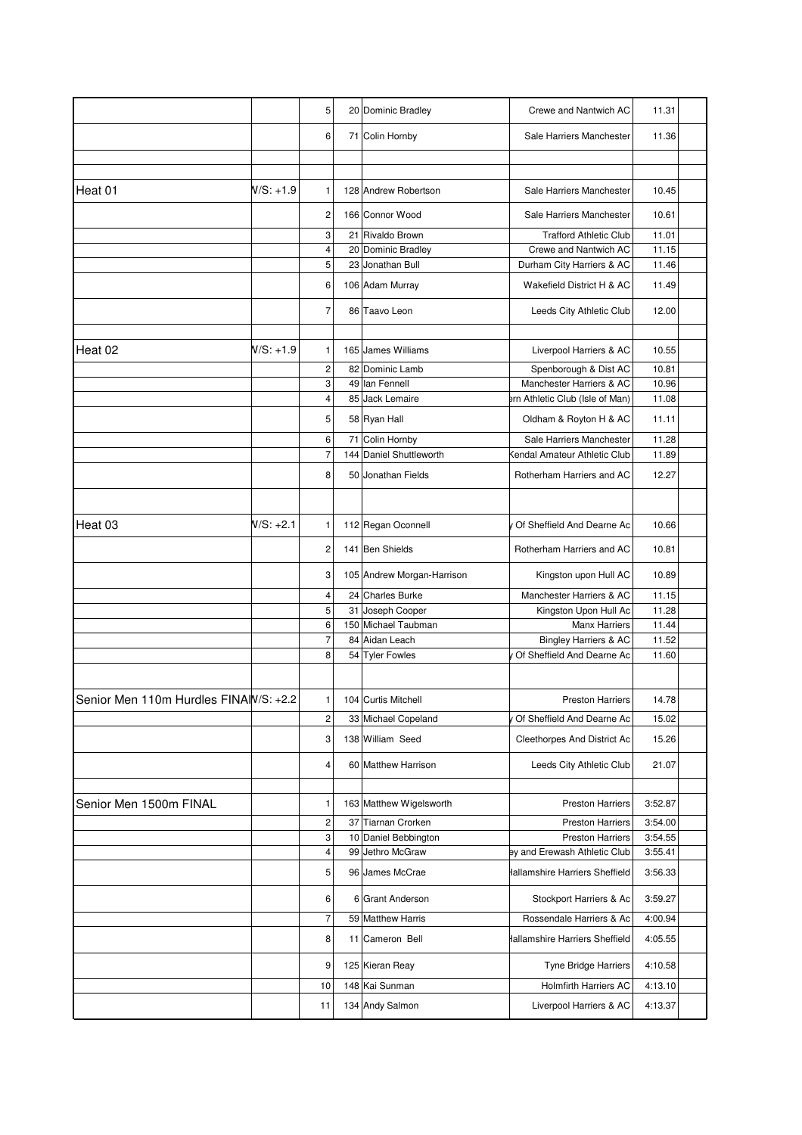|                                       |             | 5              |     | 20 Dominic Bradley         | Crewe and Nantwich AC               | 11.31   |
|---------------------------------------|-------------|----------------|-----|----------------------------|-------------------------------------|---------|
|                                       |             | 6              |     | 71 Colin Hornby            | Sale Harriers Manchester            | 11.36   |
|                                       |             |                |     |                            |                                     |         |
| Heat 01                               | $N/S: +1.9$ | 1              |     | 128 Andrew Robertson       | Sale Harriers Manchester            | 10.45   |
|                                       |             | 2              |     | 166 Connor Wood            | Sale Harriers Manchester            | 10.61   |
|                                       |             | 3              |     | 21 Rivaldo Brown           | <b>Trafford Athletic Club</b>       | 11.01   |
|                                       |             | $\overline{4}$ |     | 20 Dominic Bradley         | Crewe and Nantwich AC               | 11.15   |
|                                       |             | 5              |     | 23 Jonathan Bull           | Durham City Harriers & AC           | 11.46   |
|                                       |             | 6              |     | 106 Adam Murray            | Wakefield District H & AC           | 11.49   |
|                                       |             | $\overline{7}$ |     | 86 Taavo Leon              | Leeds City Athletic Club            | 12.00   |
|                                       |             |                |     |                            |                                     |         |
| Heat 02                               | N/S: +1.9   | 1              | 165 | James Williams             | Liverpool Harriers & AC             | 10.55   |
|                                       |             | $\overline{c}$ |     | 82 Dominic Lamb            | Spenborough & Dist AC               | 10.81   |
|                                       |             | 3              |     | 49 Ian Fennell             | Manchester Harriers & AC            | 10.96   |
|                                       |             | $\overline{4}$ |     | 85 Jack Lemaire            | ern Athletic Club (Isle of Man)     | 11.08   |
|                                       |             |                |     |                            |                                     |         |
|                                       |             | 5              |     | 58 Ryan Hall               | Oldham & Royton H & AC              | 11.11   |
|                                       |             | 6              |     | 71 Colin Hornby            | Sale Harriers Manchester            | 11.28   |
|                                       |             | $\overline{7}$ |     | 144 Daniel Shuttleworth    | <b>Kendal Amateur Athletic Club</b> | 11.89   |
|                                       |             | 8              | 50  | Jonathan Fields            | Rotherham Harriers and AC           | 12.27   |
|                                       |             |                |     |                            |                                     |         |
| Heat 03                               | $N/S: +2.1$ | 1              |     | 112 Regan Oconnell         | Of Sheffield And Dearne Ac          | 10.66   |
|                                       |             | 2              |     | 141 Ben Shields            | Rotherham Harriers and AC           | 10.81   |
|                                       |             | 3              |     | 105 Andrew Morgan-Harrison | Kingston upon Hull AC               | 10.89   |
|                                       |             | 4              |     | 24 Charles Burke           | Manchester Harriers & AC            | 11.15   |
|                                       |             | 5              |     | 31 Joseph Cooper           | Kingston Upon Hull Ac               | 11.28   |
|                                       |             | 6              |     | 150 Michael Taubman        | <b>Manx Harriers</b>                | 11.44   |
|                                       |             | $\overline{7}$ |     | 84 Aidan Leach             | Bingley Harriers & AC               | 11.52   |
|                                       |             | 8              |     | 54 Tyler Fowles            | Of Sheffield And Dearne Ac          | 11.60   |
|                                       |             |                |     |                            |                                     |         |
| Senior Men 110m Hurdles FINAW/S: +2.2 |             | 1              |     | 104 Curtis Mitchell        | Preston Harriers                    | 14.78   |
|                                       |             | 2              |     | 33 Michael Copeland        | Of Sheffield And Dearne Ac          | 15.02   |
|                                       |             | 3              |     | 138 William Seed           | Cleethorpes And District Ac         | 15.26   |
|                                       |             | 4              |     | 60 Matthew Harrison        | Leeds City Athletic Club            | 21.07   |
|                                       |             |                |     |                            |                                     |         |
| Senior Men 1500m FINAL                |             | 1              |     | 163 Matthew Wigelsworth    | <b>Preston Harriers</b>             | 3:52.87 |
|                                       |             | 2              |     | 37 Tiarnan Crorken         | <b>Preston Harriers</b>             | 3:54.00 |
|                                       |             | 3              |     | 10 Daniel Bebbington       | <b>Preston Harriers</b>             | 3:54.55 |
|                                       |             | 4              |     | 99 Jethro McGraw           | ey and Erewash Athletic Club        | 3:55.41 |
|                                       |             | 5              |     | 96 James McCrae            | Hallamshire Harriers Sheffield      | 3:56.33 |
|                                       |             | 6              |     | 6 Grant Anderson           | Stockport Harriers & Ac             | 3:59.27 |
|                                       |             | $\overline{7}$ |     | 59 Matthew Harris          | Rossendale Harriers & Ac            | 4:00.94 |
|                                       |             | 8              |     | 11 Cameron Bell            | Hallamshire Harriers Sheffield      | 4:05.55 |
|                                       |             | 9              |     | 125 Kieran Reay            | Tyne Bridge Harriers                | 4:10.58 |
|                                       |             | 10             |     | 148 Kai Sunman             | <b>Holmfirth Harriers AC</b>        | 4:13.10 |
|                                       |             | 11             |     | 134 Andy Salmon            | Liverpool Harriers & AC             | 4:13.37 |
|                                       |             |                |     |                            |                                     |         |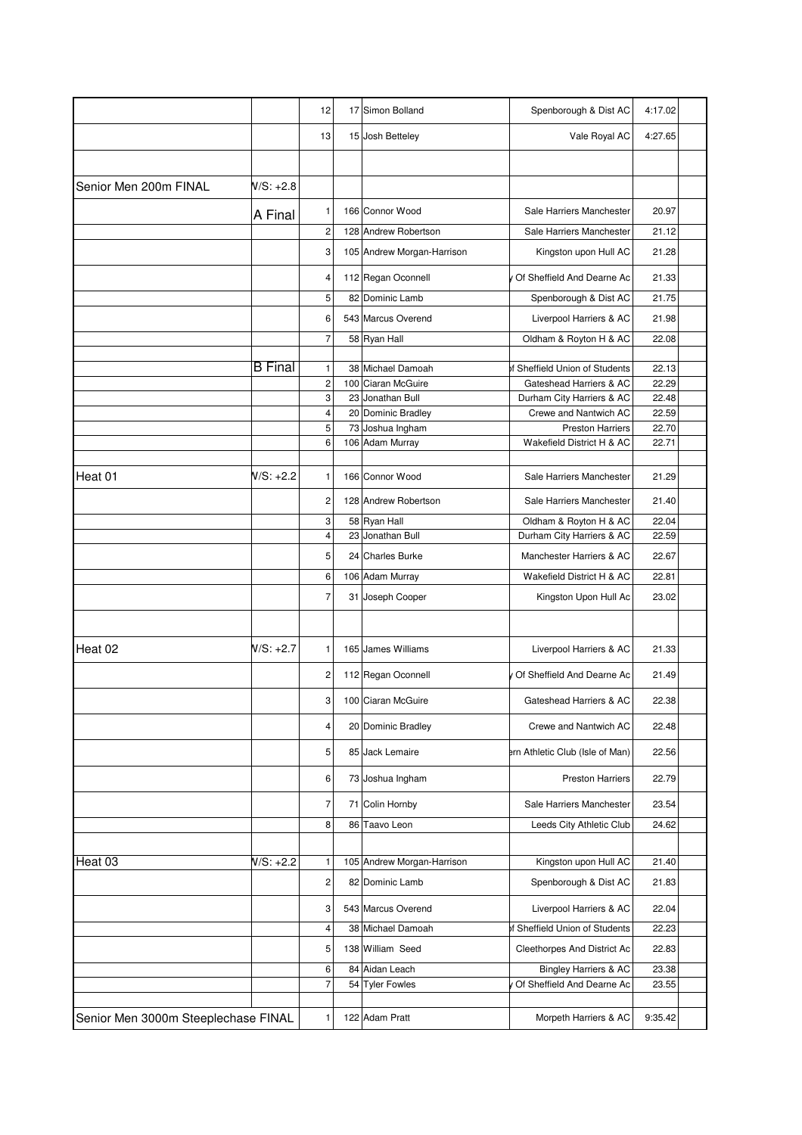|                                     |                | 12             |    | 17 Simon Bolland           | Spenborough & Dist AC            | 4:17.02 |
|-------------------------------------|----------------|----------------|----|----------------------------|----------------------------------|---------|
|                                     |                | 13             |    | 15 Josh Betteley           | Vale Royal AC                    | 4:27.65 |
|                                     |                |                |    |                            |                                  |         |
| Senior Men 200m FINAL               | $N/S: +2.8$    |                |    |                            |                                  |         |
|                                     | A Final        | 1              |    | 166 Connor Wood            | Sale Harriers Manchester         | 20.97   |
|                                     |                | $\mathbf 2$    |    | 128 Andrew Robertson       | Sale Harriers Manchester         | 21.12   |
|                                     |                | 3              |    | 105 Andrew Morgan-Harrison | Kingston upon Hull AC            | 21.28   |
|                                     |                | 4              |    | 112 Regan Oconnell         | v Of Sheffield And Dearne Ac     | 21.33   |
|                                     |                | 5              |    | 82 Dominic Lamb            | Spenborough & Dist AC            | 21.75   |
|                                     |                | 6              |    | 543 Marcus Overend         | Liverpool Harriers & AC          | 21.98   |
|                                     |                | $\overline{7}$ |    | 58 Ryan Hall               | Oldham & Royton H & AC           | 22.08   |
|                                     |                |                |    |                            |                                  |         |
|                                     | <b>B</b> Final | 1              |    | 38 Michael Damoah          | of Sheffield Union of Students   | 22.13   |
|                                     |                | $\mathbf 2$    |    | 100 Ciaran McGuire         | Gateshead Harriers & AC          | 22.29   |
|                                     |                | 3              |    | 23 Jonathan Bull           | Durham City Harriers & AC        | 22.48   |
|                                     |                | 4              |    | 20 Dominic Bradley         | Crewe and Nantwich AC            | 22.59   |
|                                     |                | 5              |    | 73 Joshua Ingham           | <b>Preston Harriers</b>          | 22.70   |
|                                     |                | 6              |    | 106 Adam Murray            | Wakefield District H & AC        | 22.71   |
|                                     |                |                |    |                            |                                  |         |
| Heat 01                             | $N/S: +2.2$    | 1              |    | 166 Connor Wood            | Sale Harriers Manchester         | 21.29   |
|                                     |                | 2              |    | 128 Andrew Robertson       | Sale Harriers Manchester         | 21.40   |
|                                     |                | 3              |    | 58 Ryan Hall               | Oldham & Royton H & AC           | 22.04   |
|                                     |                | 4              | 23 | Jonathan Bull              | Durham City Harriers & AC        | 22.59   |
|                                     |                | 5              |    | 24 Charles Burke           | Manchester Harriers & AC         | 22.67   |
|                                     |                | 6              |    | 106 Adam Murray            | Wakefield District H & AC        | 22.81   |
|                                     |                | $\overline{7}$ | 31 | Joseph Cooper              | Kingston Upon Hull Ac            | 23.02   |
|                                     |                |                |    |                            |                                  |         |
| Heat 02                             | N/S: +2.7      | 1              |    | 165 James Williams         | Liverpool Harriers & AC          | 21.33   |
|                                     |                | 2              |    | 112 Regan Oconnell         | Of Sheffield And Dearne Ac       | 21.49   |
|                                     |                | 3              |    | 100 Ciaran McGuire         | Gateshead Harriers & AC          | 22.38   |
|                                     |                | 4              |    | 20 Dominic Bradley         | Crewe and Nantwich AC            | 22.48   |
|                                     |                | 5              |    | 85 Jack Lemaire            | ern Athletic Club (Isle of Man)  | 22.56   |
|                                     |                | 6              |    | 73 Joshua Ingham           | <b>Preston Harriers</b>          | 22.79   |
|                                     |                | 7              |    | 71 Colin Hornby            | Sale Harriers Manchester         | 23.54   |
|                                     |                | 8              |    | 86 Taavo Leon              | Leeds City Athletic Club         | 24.62   |
|                                     |                |                |    |                            |                                  |         |
| Heat 03                             | $N/S: +2.2$    | 1              |    | 105 Andrew Morgan-Harrison | Kingston upon Hull AC            | 21.40   |
|                                     |                |                |    |                            |                                  |         |
|                                     |                | $\overline{c}$ |    | 82 Dominic Lamb            | Spenborough & Dist AC            | 21.83   |
|                                     |                | 3              |    | 543 Marcus Overend         | Liverpool Harriers & AC          | 22.04   |
|                                     |                | 4              |    | 38 Michael Damoah          | of Sheffield Union of Students   | 22.23   |
|                                     |                | 5              |    | 138 William Seed           | Cleethorpes And District Ac      | 22.83   |
|                                     |                | 6              |    | 84 Aidan Leach             | <b>Bingley Harriers &amp; AC</b> | 23.38   |
|                                     |                | $\overline{7}$ |    | 54 Tyler Fowles            | Of Sheffield And Dearne Ac       | 23.55   |
|                                     |                |                |    |                            |                                  |         |
| Senior Men 3000m Steeplechase FINAL |                | 1              |    | 122 Adam Pratt             | Morpeth Harriers & AC            | 9:35.42 |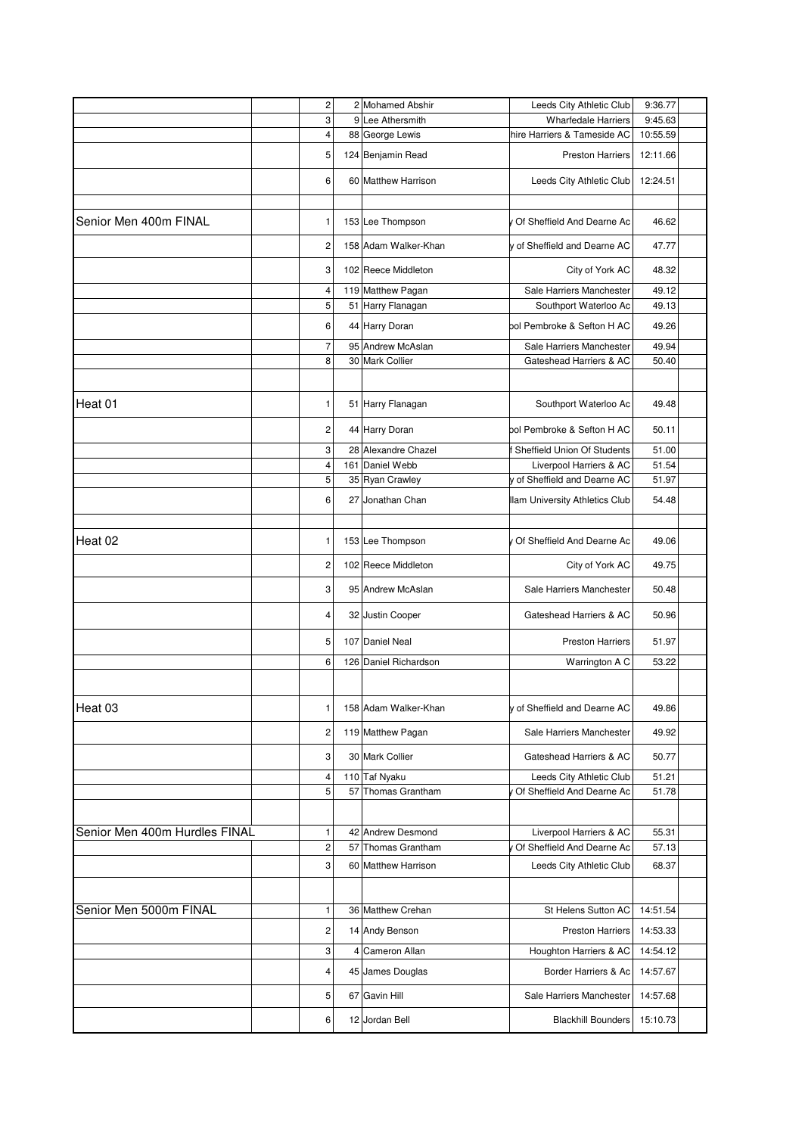|                               | 2              | 2 Mohamed Abshir      | Leeds City Athletic Club       | 9:36.77  |
|-------------------------------|----------------|-----------------------|--------------------------------|----------|
|                               | 3              | 9 Lee Athersmith      | <b>Wharfedale Harriers</b>     | 9:45.63  |
|                               | 4              | 88 George Lewis       | hire Harriers & Tameside AC    | 10:55.59 |
|                               | 5              | 124 Benjamin Read     | <b>Preston Harriers</b>        | 12:11.66 |
|                               | 6              | 60 Matthew Harrison   | Leeds City Athletic Club       | 12:24.51 |
|                               |                |                       |                                |          |
| Senior Men 400m FINAL         | 1              | 153 Lee Thompson      | Of Sheffield And Dearne Ac     | 46.62    |
|                               | $\overline{c}$ | 158 Adam Walker-Khan  | v of Sheffield and Dearne AC   | 47.77    |
|                               | 3              | 102 Reece Middleton   | City of York AC                | 48.32    |
|                               | 4              | 119 Matthew Pagan     | Sale Harriers Manchester       | 49.12    |
|                               | 5              | 51 Harry Flanagan     | Southport Waterloo Ac          | 49.13    |
|                               | 6              | 44 Harry Doran        | ool Pembroke & Sefton H AC     | 49.26    |
|                               | $\overline{7}$ | 95 Andrew McAslan     | Sale Harriers Manchester       | 49.94    |
|                               | 8              | 30 Mark Collier       | Gateshead Harriers & AC        | 50.40    |
| Heat 01                       | 1              | 51 Harry Flanagan     | Southport Waterloo Ac          | 49.48    |
|                               | 2              | 44 Harry Doran        | ool Pembroke & Sefton H AC     | 50.11    |
|                               |                |                       |                                |          |
|                               | 3              | 28 Alexandre Chazel   | Sheffield Union Of Students    | 51.00    |
|                               | 4              | 161 Daniel Webb       | Liverpool Harriers & AC        | 51.54    |
|                               | 5              | 35 Ryan Crawley       | y of Sheffield and Dearne AC   | 51.97    |
|                               | 6              | 27 Jonathan Chan      | Ilam University Athletics Club | 54.48    |
| Heat 02                       | 1              | 153 Lee Thompson      | v Of Sheffield And Dearne Ac   | 49.06    |
|                               | $\overline{c}$ | 102 Reece Middleton   | City of York AC                | 49.75    |
|                               | 3              | 95 Andrew McAslan     | Sale Harriers Manchester       | 50.48    |
|                               | 4              | 32 Justin Cooper      | Gateshead Harriers & AC        | 50.96    |
|                               | 5              | 107 Daniel Neal       | <b>Preston Harriers</b>        | 51.97    |
|                               | 6              | 126 Daniel Richardson | Warrington A C                 | 53.22    |
|                               |                |                       |                                |          |
| Heat 03                       | 1              | 158 Adam Walker-Khan  | y of Sheffield and Dearne AC   | 49.86    |
|                               | 2              | 119 Matthew Pagan     | Sale Harriers Manchester       | 49.92    |
|                               | 3              | 30 Mark Collier       | Gateshead Harriers & AC        | 50.77    |
|                               | 4              | 110 Taf Nyaku         | Leeds City Athletic Club       | 51.21    |
|                               | 5              | 57 Thomas Grantham    | Of Sheffield And Dearne Ac     | 51.78    |
|                               |                |                       |                                |          |
| Senior Men 400m Hurdles FINAL | 1              | 42 Andrew Desmond     | Liverpool Harriers & AC        | 55.31    |
|                               | 2              | 57 Thomas Grantham    | Of Sheffield And Dearne Ac     | 57.13    |
|                               | 3              | 60 Matthew Harrison   | Leeds City Athletic Club       | 68.37    |
| Senior Men 5000m FINAL        | 1              | 36 Matthew Crehan     | St Helens Sutton AC            | 14:51.54 |
|                               | 2              | 14 Andy Benson        | <b>Preston Harriers</b>        | 14:53.33 |
|                               | 3              | 4 Cameron Allan       | Houghton Harriers & AC         | 14:54.12 |
|                               | 4              | 45 James Douglas      | Border Harriers & Ac           | 14:57.67 |
|                               | 5              | 67 Gavin Hill         | Sale Harriers Manchester       | 14:57.68 |
|                               | 6              | 12 Jordan Bell        | <b>Blackhill Bounders</b>      | 15:10.73 |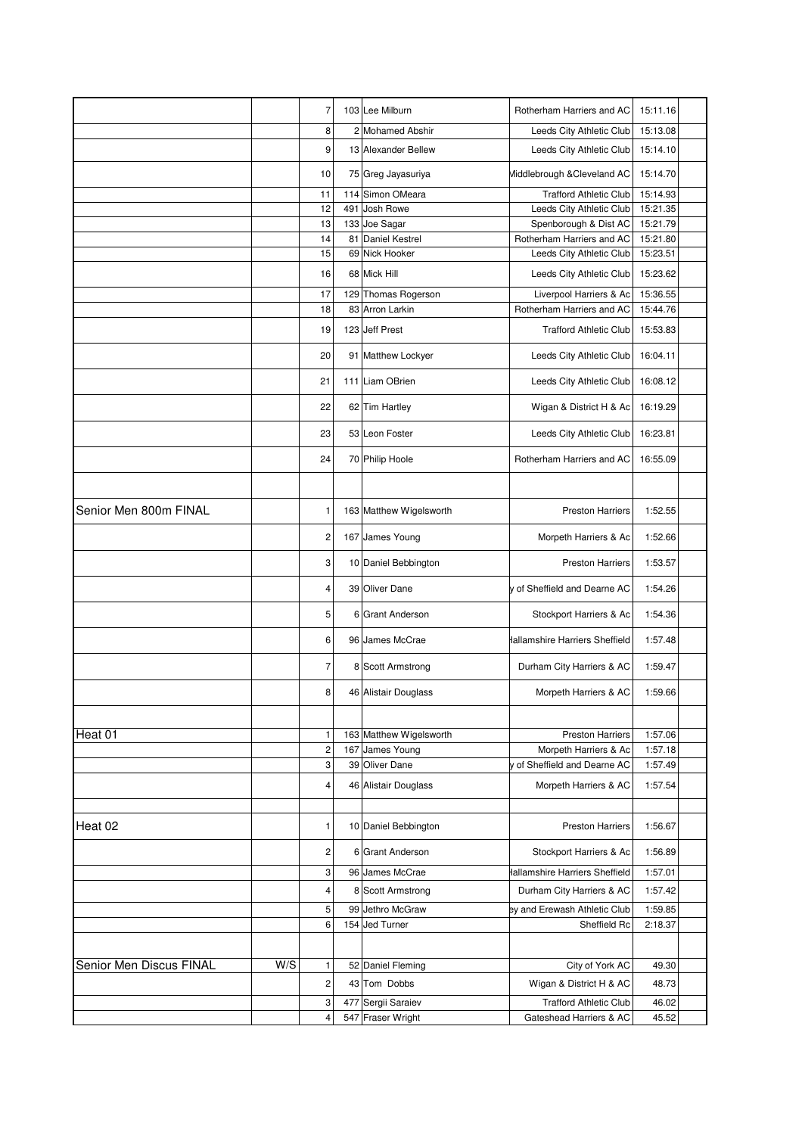|                         |     | 7                       | 103 Lee Milburn         | Rotherham Harriers and AC      | 15:11.16 |
|-------------------------|-----|-------------------------|-------------------------|--------------------------------|----------|
|                         |     | 8                       | 2 Mohamed Abshir        | Leeds City Athletic Club       | 15:13.08 |
|                         |     | 9                       | 13 Alexander Bellew     | Leeds City Athletic Club       | 15:14.10 |
|                         |     | 10                      | 75 Greg Jayasuriya      | Middlebrough & Cleveland AC    | 15:14.70 |
|                         |     | 11                      | 114 Simon OMeara        | <b>Trafford Athletic Club</b>  | 15:14.93 |
|                         |     | 12                      | 491 Josh Rowe           | Leeds City Athletic Club       | 15:21.35 |
|                         |     | 13                      | 133 Joe Sagar           | Spenborough & Dist AC          | 15:21.79 |
|                         |     | 14                      | 81 Daniel Kestrel       | Rotherham Harriers and AC      | 15:21.80 |
|                         |     | 15                      | 69 Nick Hooker          | Leeds City Athletic Club       | 15:23.51 |
|                         |     | 16                      | 68 Mick Hill            | Leeds City Athletic Club       | 15:23.62 |
|                         |     | 17                      | 129 Thomas Rogerson     | Liverpool Harriers & Ac        | 15:36.55 |
|                         |     | 18                      | 83 Arron Larkin         | Rotherham Harriers and AC      | 15:44.76 |
|                         |     | 19                      | 123 Jeff Prest          | <b>Trafford Athletic Club</b>  | 15:53.83 |
|                         |     | 20                      | 91 Matthew Lockyer      | Leeds City Athletic Club       | 16:04.11 |
|                         |     | 21                      | 111 Liam OBrien         | Leeds City Athletic Club       | 16:08.12 |
|                         |     | 22                      | 62 Tim Hartley          | Wigan & District H & Ac        | 16:19.29 |
|                         |     | 23                      | 53 Leon Foster          | Leeds City Athletic Club       | 16:23.81 |
|                         |     | 24                      | 70 Philip Hoole         | Rotherham Harriers and AC      | 16:55.09 |
|                         |     |                         |                         |                                |          |
| Senior Men 800m FINAL   |     | 1                       | 163 Matthew Wigelsworth | <b>Preston Harriers</b>        | 1:52.55  |
|                         |     | 2                       | 167 James Young         | Morpeth Harriers & Ac          | 1:52.66  |
|                         |     | 3                       | 10 Daniel Bebbington    | <b>Preston Harriers</b>        | 1:53.57  |
|                         |     | 4                       | 39 Oliver Dane          | y of Sheffield and Dearne AC   | 1:54.26  |
|                         |     | 5                       | 6 Grant Anderson        | Stockport Harriers & Ac        | 1:54.36  |
|                         |     | 6                       | 96 James McCrae         | Hallamshire Harriers Sheffield | 1:57.48  |
|                         |     | 7                       | 8 Scott Armstrong       | Durham City Harriers & AC      | 1:59.47  |
|                         |     | 8                       | 46 Alistair Douglass    | Morpeth Harriers & AC          | 1:59.66  |
|                         |     |                         |                         |                                |          |
| Heat 01                 |     | 1                       | 163 Matthew Wigelsworth | <b>Preston Harriers</b>        | 1:57.06  |
|                         |     | 2                       | 167 James Young         | Morpeth Harriers & Ac          | 1:57.18  |
|                         |     | 3                       | 39 Oliver Dane          | y of Sheffield and Dearne AC   | 1:57.49  |
|                         |     | 4                       | 46 Alistair Douglass    | Morpeth Harriers & AC          | 1:57.54  |
|                         |     |                         |                         |                                |          |
| Heat 02                 |     | 1                       | 10 Daniel Bebbington    | <b>Preston Harriers</b>        | 1:56.67  |
|                         |     | 2                       | 6 Grant Anderson        | Stockport Harriers & Ac        | 1:56.89  |
|                         |     | 3                       | 96 James McCrae         | Hallamshire Harriers Sheffield | 1:57.01  |
|                         |     | 4                       | 8 Scott Armstrong       | Durham City Harriers & AC      | 1:57.42  |
|                         |     | 5                       | 99 Jethro McGraw        | ey and Erewash Athletic Club   | 1:59.85  |
|                         |     | 6                       | 154 Jed Turner          | Sheffield Rc                   | 2:18.37  |
|                         |     |                         |                         |                                |          |
| Senior Men Discus FINAL | W/S | 1                       | 52 Daniel Fleming       | City of York AC                | 49.30    |
|                         |     | 2                       | 43 Tom Dobbs            | Wigan & District H & AC        | 48.73    |
|                         |     | 3                       | 477 Sergii Saraiev      | <b>Trafford Athletic Club</b>  | 46.02    |
|                         |     | $\overline{\mathbf{4}}$ | 547 Fraser Wright       | Gateshead Harriers & AC        | 45.52    |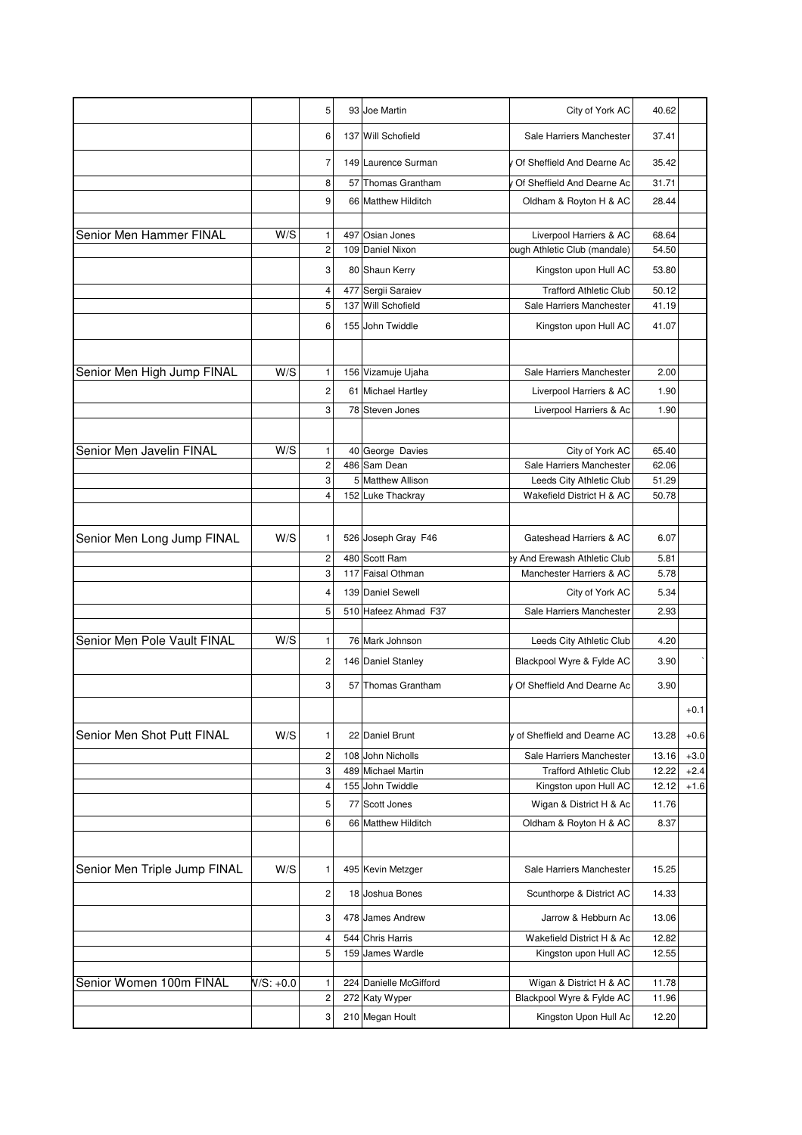|                              |             | 5                            |     | 93 Joe Martin                    | City of York AC                                          | 40.62          |                  |
|------------------------------|-------------|------------------------------|-----|----------------------------------|----------------------------------------------------------|----------------|------------------|
|                              |             | 6                            |     | 137 Will Schofield               | Sale Harriers Manchester                                 | 37.41          |                  |
|                              |             | $\overline{7}$               |     | 149 Laurence Surman              | y Of Sheffield And Dearne Ac                             | 35.42          |                  |
|                              |             | 8                            | 57  | Thomas Grantham                  | Of Sheffield And Dearne Ac                               | 31.71          |                  |
|                              |             | 9                            |     | 66 Matthew Hilditch              | Oldham & Royton H & AC                                   | 28.44          |                  |
|                              |             |                              |     |                                  |                                                          |                |                  |
| Senior Men Hammer FINAL      | W/S         | 1                            | 497 | Osian Jones                      | Liverpool Harriers & AC                                  | 68.64          |                  |
|                              |             | $\overline{c}$               |     | 109 Daniel Nixon                 | ough Athletic Club (mandale)                             | 54.50          |                  |
|                              |             | 3                            |     | 80 Shaun Kerry                   | Kingston upon Hull AC                                    | 53.80          |                  |
|                              |             | 4                            |     | 477 Sergii Saraiev               | <b>Trafford Athletic Club</b>                            | 50.12          |                  |
|                              |             | 5                            | 137 | <b>Will Schofield</b>            | Sale Harriers Manchester                                 | 41.19          |                  |
|                              |             | 6                            |     | 155 John Twiddle                 | Kingston upon Hull AC                                    | 41.07          |                  |
|                              |             |                              |     |                                  |                                                          |                |                  |
| Senior Men High Jump FINAL   | W/S         | 1                            |     | 156 Vizamuje Ujaha               | Sale Harriers Manchester                                 | 2.00           |                  |
|                              |             | 2                            |     | 61 Michael Hartley               | Liverpool Harriers & AC                                  | 1.90           |                  |
|                              |             | 3                            |     | 78 Steven Jones                  | Liverpool Harriers & Ac                                  | 1.90           |                  |
|                              |             |                              |     |                                  |                                                          |                |                  |
| Senior Men Javelin FINAL     | W/S         | 1                            |     | 40 George Davies                 | City of York AC                                          | 65.40          |                  |
|                              |             | $\overline{c}$               | 486 | Sam Dean                         | Sale Harriers Manchester                                 | 62.06          |                  |
|                              |             | 3                            |     | 5 Matthew Allison                | Leeds City Athletic Club                                 | 51.29          |                  |
|                              |             | 4                            |     | 152 Luke Thackray                | Wakefield District H & AC                                | 50.78          |                  |
| Senior Men Long Jump FINAL   | W/S         | 1                            |     | 526 Joseph Gray F46              | Gateshead Harriers & AC                                  | 6.07           |                  |
|                              |             | 2                            |     | 480 Scott Ram                    | ey And Erewash Athletic Club                             | 5.81           |                  |
|                              |             | 3                            |     | 117 Faisal Othman                | Manchester Harriers & AC                                 | 5.78           |                  |
|                              |             | 4                            |     | 139 Daniel Sewell                | City of York AC                                          | 5.34           |                  |
|                              |             | 5                            | 510 | Hafeez Ahmad F37                 | Sale Harriers Manchester                                 | 2.93           |                  |
| Senior Men Pole Vault FINAL  | W/S         | 1                            |     | 76 Mark Johnson                  | Leeds City Athletic Club                                 | 4.20           |                  |
|                              |             | $\overline{c}$               |     | 146 Daniel Stanley               | Blackpool Wyre & Fylde AC                                | 3.90           |                  |
|                              |             | 3                            | 57  | Thomas Grantham                  | Of Sheffield And Dearne Ac                               | 3.90           |                  |
|                              |             |                              |     |                                  |                                                          |                | $+0.1$           |
|                              |             |                              |     |                                  |                                                          |                |                  |
| Senior Men Shot Putt FINAL   | W/S         | 1<br>$\overline{\mathbf{c}}$ | 108 | 22 Daniel Brunt<br>John Nicholls | y of Sheffield and Dearne AC<br>Sale Harriers Manchester | 13.28<br>13.16 | $+0.6$<br>$+3.0$ |
|                              |             | 3                            |     | 489 Michael Martin               | <b>Trafford Athletic Club</b>                            | 12.22          | $+2.4$           |
|                              |             | 4                            |     | 155 John Twiddle                 | Kingston upon Hull AC                                    | 12.12          | $+1.6$           |
|                              |             | 5                            |     | 77 Scott Jones                   | Wigan & District H & Ac                                  | 11.76          |                  |
|                              |             | 6                            |     | 66 Matthew Hilditch              | Oldham & Royton H & AC                                   | 8.37           |                  |
|                              |             |                              |     |                                  |                                                          |                |                  |
| Senior Men Triple Jump FINAL | W/S         | 1                            |     | 495 Kevin Metzger                | Sale Harriers Manchester                                 | 15.25          |                  |
|                              |             | 2                            |     | 18 Joshua Bones                  | Scunthorpe & District AC                                 | 14.33          |                  |
|                              |             | 3                            |     | 478 James Andrew                 | Jarrow & Hebburn Ac                                      | 13.06          |                  |
|                              |             | 4                            |     | 544 Chris Harris                 | Wakefield District H & Ac                                | 12.82          |                  |
|                              |             | 5                            |     | 159 James Wardle                 | Kingston upon Hull AC                                    | 12.55          |                  |
|                              |             |                              |     |                                  |                                                          |                |                  |
| Senior Women 100m FINAL      | $N/S: +0.0$ | 1                            |     | 224 Danielle McGifford           | Wigan & District H & AC                                  | 11.78          |                  |
|                              |             | $\mathbf 2$                  |     | 272 Katy Wyper                   | Blackpool Wyre & Fylde AC                                | 11.96          |                  |
|                              |             | 3                            |     | 210 Megan Hoult                  | Kingston Upon Hull Ac                                    | 12.20          |                  |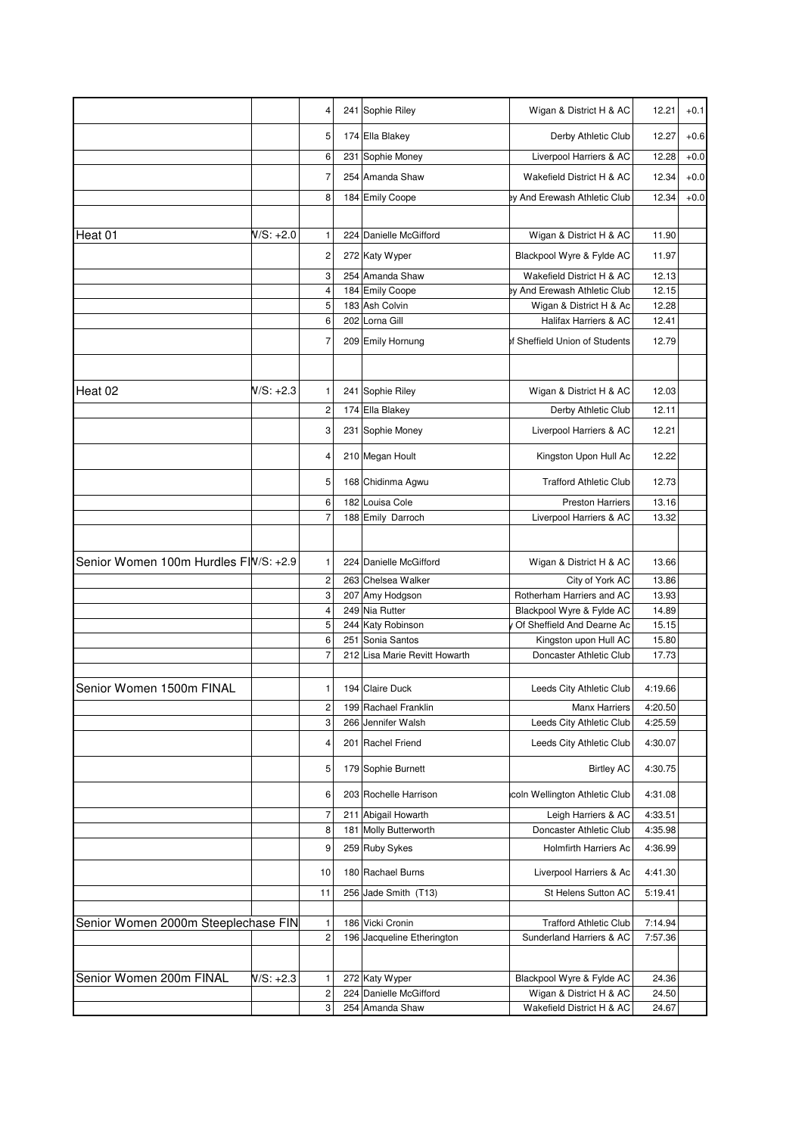|                                       |             | 4              | 241 Sophie Riley              | Wigan & District H & AC        | 12.21   | $+0.1$ |
|---------------------------------------|-------------|----------------|-------------------------------|--------------------------------|---------|--------|
|                                       |             | 5              | 174 Ella Blakey               | Derby Athletic Club            | 12.27   | $+0.6$ |
|                                       |             | 6              | 231 Sophie Money              | Liverpool Harriers & AC        | 12.28   | $+0.0$ |
|                                       |             | 7              | 254 Amanda Shaw               | Wakefield District H & AC      | 12.34   | $+0.0$ |
|                                       |             | 8              | 184 Emily Coope               | ey And Erewash Athletic Club   | 12.34   | $+0.0$ |
|                                       |             |                |                               |                                |         |        |
| Heat 01                               | $N/S: +2.0$ | 1              | 224 Danielle McGifford        | Wigan & District H & AC        | 11.90   |        |
|                                       |             | 2              | 272 Katy Wyper                | Blackpool Wyre & Fylde AC      | 11.97   |        |
|                                       |             | 3              | 254 Amanda Shaw               | Wakefield District H & AC      | 12.13   |        |
|                                       |             | 4              | 184 Emily Coope               | ey And Erewash Athletic Club   | 12.15   |        |
|                                       |             | 5              | 183 Ash Colvin                | Wigan & District H & Ac        | 12.28   |        |
|                                       |             | 6              | 202 Lorna Gill                | Halifax Harriers & AC          | 12.41   |        |
|                                       |             | 7              | 209 Emily Hornung             | of Sheffield Union of Students | 12.79   |        |
|                                       |             |                |                               |                                |         |        |
| Heat 02                               | N/S: +2.3   | 1              | 241 Sophie Riley              | Wigan & District H & AC        | 12.03   |        |
|                                       |             | 2              | 174 Ella Blakey               | Derby Athletic Club            | 12.11   |        |
|                                       |             | 3              | 231 Sophie Money              | Liverpool Harriers & AC        | 12.21   |        |
|                                       |             | 4              | 210 Megan Hoult               | Kingston Upon Hull Ac          | 12.22   |        |
|                                       |             | 5              | 168 Chidinma Agwu             | <b>Trafford Athletic Club</b>  | 12.73   |        |
|                                       |             | 6              | 182 Louisa Cole               | <b>Preston Harriers</b>        | 13.16   |        |
|                                       |             | $\overline{7}$ | 188 Emily Darroch             | Liverpool Harriers & AC        | 13.32   |        |
|                                       |             |                |                               |                                |         |        |
| Senior Women 100m Hurdles FIW/S: +2.9 |             | 1              | 224 Danielle McGifford        | Wigan & District H & AC        | 13.66   |        |
|                                       |             | 2              | 263 Chelsea Walker            | City of York AC                | 13.86   |        |
|                                       |             | 3              | 207 Amy Hodgson               | Rotherham Harriers and AC      | 13.93   |        |
|                                       |             | 4              | 249 Nia Rutter                | Blackpool Wyre & Fylde AC      | 14.89   |        |
|                                       |             | 5              | 244 Katy Robinson             | Of Sheffield And Dearne Ac     | 15.15   |        |
|                                       |             | 6              | 251 Sonia Santos              | Kingston upon Hull AC          | 15.80   |        |
|                                       |             | 7              | 212 Lisa Marie Revitt Howarth | Doncaster Athletic Club        | 17.73   |        |
|                                       |             |                |                               |                                |         |        |
| Senior Women 1500m FINAL              |             | 1              | 194 Claire Duck               | Leeds City Athletic Club       | 4:19.66 |        |
|                                       |             | 2              | 199 Rachael Franklin          | <b>Manx Harriers</b>           | 4:20.50 |        |
|                                       |             | 3              | 266 Jennifer Walsh            | Leeds City Athletic Club       | 4:25.59 |        |
|                                       |             | 4              | 201 Rachel Friend             | Leeds City Athletic Club       | 4:30.07 |        |
|                                       |             | 5              | 179 Sophie Burnett            | <b>Birtley AC</b>              | 4:30.75 |        |
|                                       |             | 6              | 203 Rochelle Harrison         | icoln Wellington Athletic Club | 4:31.08 |        |
|                                       |             | 7              | 211 Abigail Howarth           | Leigh Harriers & AC            | 4:33.51 |        |
|                                       |             | 8              | 181 Molly Butterworth         | Doncaster Athletic Club        | 4:35.98 |        |
|                                       |             | 9              | 259 Ruby Sykes                | <b>Holmfirth Harriers Ac</b>   | 4:36.99 |        |
|                                       |             | 10             | 180 Rachael Burns             | Liverpool Harriers & Ac        | 4:41.30 |        |
|                                       |             | 11             | 256 Jade Smith (T13)          | St Helens Sutton AC            | 5:19.41 |        |
| Senior Women 2000m Steeplechase FIN   |             | 1              | 186 Vicki Cronin              | <b>Trafford Athletic Club</b>  | 7:14.94 |        |
|                                       |             | $\overline{c}$ | 196 Jacqueline Etherington    | Sunderland Harriers & AC       | 7:57.36 |        |
|                                       |             |                |                               |                                |         |        |
| Senior Women 200m FINAL               | $N/S: +2.3$ | 1              | 272 Katy Wyper                | Blackpool Wyre & Fylde AC      | 24.36   |        |
|                                       |             | 2              | 224 Danielle McGifford        | Wigan & District H & AC        | 24.50   |        |
|                                       |             | 3              | 254 Amanda Shaw               | Wakefield District H & AC      | 24.67   |        |
|                                       |             |                |                               |                                |         |        |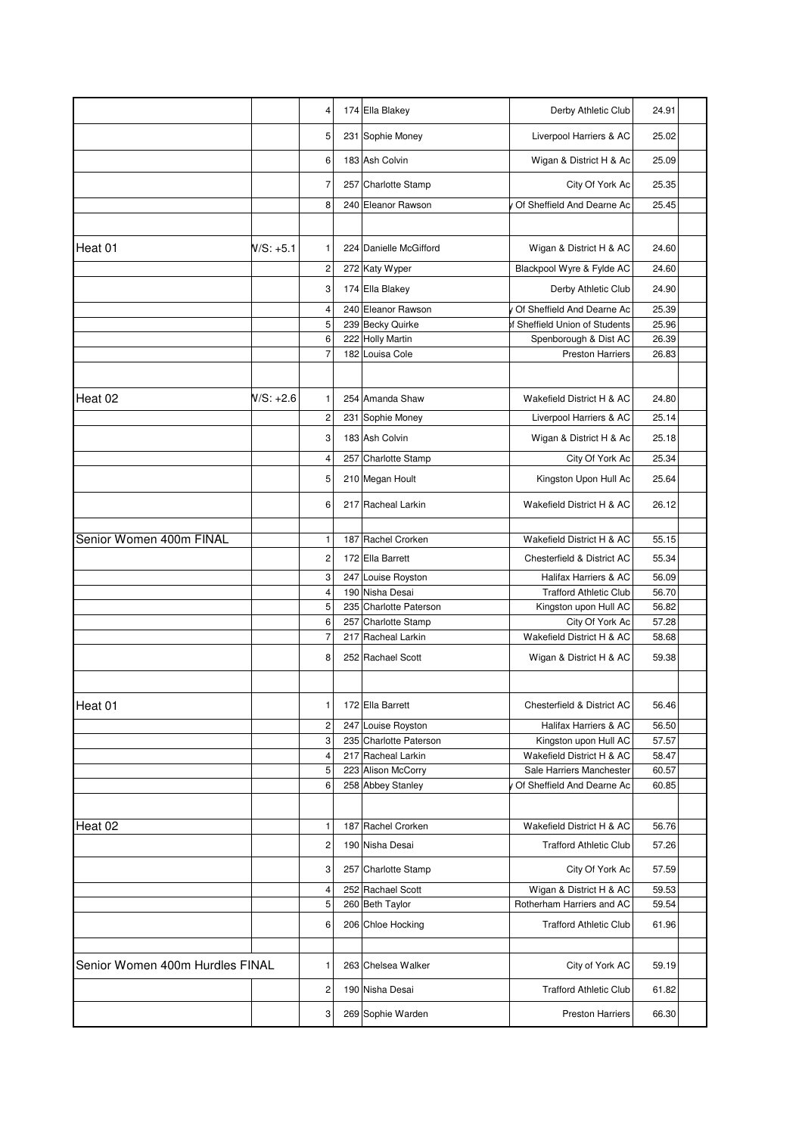|                                 |           | 4                   | 174 Ella Blakey                              | Derby Athletic Club                                  | 24.91          |
|---------------------------------|-----------|---------------------|----------------------------------------------|------------------------------------------------------|----------------|
|                                 |           | 5                   | 231 Sophie Money                             | Liverpool Harriers & AC                              | 25.02          |
|                                 |           | 6                   | 183 Ash Colvin                               | Wigan & District H & Ac                              | 25.09          |
|                                 |           | 7                   | 257 Charlotte Stamp                          | City Of York Ac                                      | 25.35          |
|                                 |           | 8                   | 240 Eleanor Rawson                           | Of Sheffield And Dearne Ac                           | 25.45          |
|                                 |           |                     |                                              |                                                      |                |
| Heat 01                         | W/S: +5.1 | 1                   | 224 Danielle McGifford                       | Wigan & District H & AC                              | 24.60          |
|                                 |           | 2                   | 272 Katy Wyper                               | Blackpool Wyre & Fylde AC                            | 24.60          |
|                                 |           | 3                   | 174 Ella Blakey                              | Derby Athletic Club                                  | 24.90          |
|                                 |           | 4                   | 240 Eleanor Rawson                           | Of Sheffield And Dearne Ac                           | 25.39          |
|                                 |           | 5                   | 239 Becky Quirke                             | of Sheffield Union of Students                       | 25.96          |
|                                 |           | 6<br>$\overline{7}$ | 222 Holly Martin<br>182 Louisa Cole          | Spenborough & Dist AC<br><b>Preston Harriers</b>     | 26.39<br>26.83 |
|                                 |           |                     |                                              |                                                      |                |
| Heat 02                         | N/S: +2.6 | 1                   | 254 Amanda Shaw                              | Wakefield District H & AC                            | 24.80          |
|                                 |           | 2                   | 231 Sophie Money                             | Liverpool Harriers & AC                              | 25.14          |
|                                 |           | 3                   | 183 Ash Colvin                               | Wigan & District H & Ac                              | 25.18          |
|                                 |           | 4                   | 257 Charlotte Stamp                          | City Of York Ac                                      | 25.34          |
|                                 |           | 5                   | 210 Megan Hoult                              | Kingston Upon Hull Ac                                | 25.64          |
|                                 |           | 6                   | 217 Racheal Larkin                           | Wakefield District H & AC                            | 26.12          |
|                                 |           |                     |                                              |                                                      |                |
| Senior Women 400m FINAL         |           | 1                   | 187 Rachel Crorken                           | Wakefield District H & AC                            | 55.15          |
|                                 |           | 2                   | 172 Ella Barrett                             | Chesterfield & District AC                           | 55.34          |
|                                 |           | 3                   | 247 Louise Royston                           | Halifax Harriers & AC                                | 56.09          |
|                                 |           | 4                   | 190 Nisha Desai                              | <b>Trafford Athletic Club</b>                        | 56.70          |
|                                 |           | 5                   | 235 Charlotte Paterson                       | Kingston upon Hull AC                                | 56.82          |
|                                 |           | 6<br>$\overline{7}$ | 257 Charlotte Stamp                          | City Of York Ac                                      | 57.28          |
|                                 |           |                     | 217 Racheal Larkin                           | Wakefield District H & AC                            | 58.68          |
|                                 |           | 8                   | 252 Rachael Scott                            | Wigan & District H & AC                              | 59.38          |
| Heat 01                         |           |                     | 172 Ella Barrett                             | Chesterfield & District AC                           | 56.46          |
|                                 |           |                     |                                              | Halifax Harriers & AC                                |                |
|                                 |           | 2<br>3              | 247 Louise Royston<br>235 Charlotte Paterson | Kingston upon Hull AC                                | 56.50<br>57.57 |
|                                 |           | 4                   | 217 Racheal Larkin                           | Wakefield District H & AC                            | 58.47          |
|                                 |           | 5                   | 223 Alison McCorry                           | Sale Harriers Manchester                             | 60.57          |
|                                 |           | 6                   | 258 Abbey Stanley                            | Of Sheffield And Dearne Ac                           | 60.85          |
|                                 |           |                     |                                              |                                                      |                |
| Heat 02                         |           | 1                   | 187 Rachel Crorken                           | Wakefield District H & AC                            | 56.76          |
|                                 |           | 2                   | 190 Nisha Desai                              | <b>Trafford Athletic Club</b>                        | 57.26          |
|                                 |           | 3                   | 257 Charlotte Stamp                          | City Of York Ac                                      | 57.59          |
|                                 |           | 4<br>5              | 252 Rachael Scott<br>260 Beth Taylor         | Wigan & District H & AC<br>Rotherham Harriers and AC | 59.53<br>59.54 |
|                                 |           | 6                   | 206 Chloe Hocking                            | <b>Trafford Athletic Club</b>                        | 61.96          |
|                                 |           |                     |                                              |                                                      |                |
| Senior Women 400m Hurdles FINAL |           | 1                   | 263 Chelsea Walker                           | City of York AC                                      | 59.19          |
|                                 |           | 2                   | 190 Nisha Desai                              | <b>Trafford Athletic Club</b>                        | 61.82          |
|                                 |           | 3                   | 269 Sophie Warden                            | <b>Preston Harriers</b>                              | 66.30          |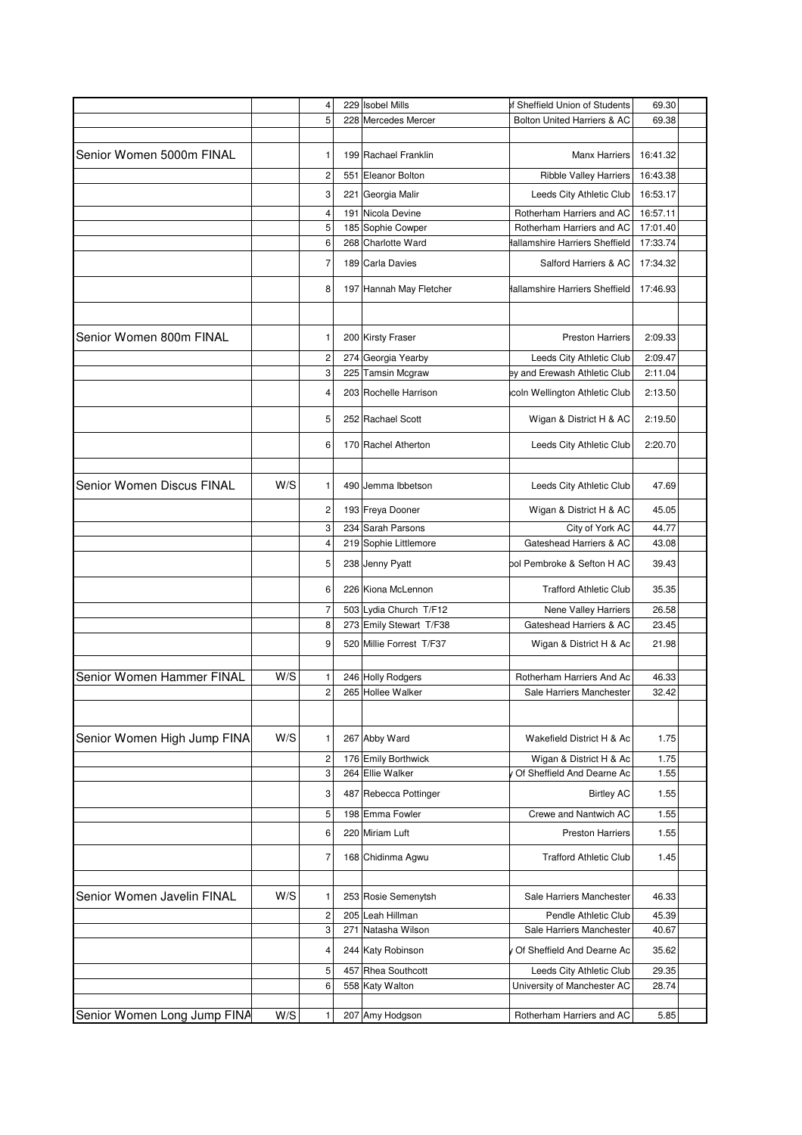|                             |     | 4              | 229 Isobel Mills                        | of Sheffield Union of Students                              | 69.30                |  |
|-----------------------------|-----|----------------|-----------------------------------------|-------------------------------------------------------------|----------------------|--|
|                             |     | 5              | 228 Mercedes Mercer                     | Bolton United Harriers & AC                                 | 69.38                |  |
|                             |     |                |                                         |                                                             |                      |  |
| Senior Women 5000m FINAL    |     | 1              | 199 Rachael Franklin                    | <b>Manx Harriers</b>                                        | 16:41.32             |  |
|                             |     | $\overline{c}$ | 551 Eleanor Bolton                      | <b>Ribble Valley Harriers</b>                               | 16:43.38             |  |
|                             |     |                |                                         |                                                             |                      |  |
|                             |     | 3              | 221 Georgia Malir                       | Leeds City Athletic Club                                    | 16:53.17             |  |
|                             |     | 4              | 191 Nicola Devine                       | Rotherham Harriers and AC                                   | 16:57.11             |  |
|                             |     | 5<br>6         | 185 Sophie Cowper<br>268 Charlotte Ward | Rotherham Harriers and AC<br>Hallamshire Harriers Sheffield | 17:01.40<br>17:33.74 |  |
|                             |     |                |                                         |                                                             |                      |  |
|                             |     | 7              | 189 Carla Davies                        | Salford Harriers & AC                                       | 17:34.32             |  |
|                             |     | 8              | 197 Hannah May Fletcher                 | Hallamshire Harriers Sheffield                              | 17:46.93             |  |
|                             |     |                |                                         |                                                             |                      |  |
|                             |     |                |                                         |                                                             |                      |  |
| Senior Women 800m FINAL     |     | 1              | 200 Kirsty Fraser                       | <b>Preston Harriers</b>                                     | 2:09.33              |  |
|                             |     | 2              | 274 Georgia Yearby                      | Leeds City Athletic Club                                    | 2:09.47              |  |
|                             |     | 3              | 225 Tamsin Mcgraw                       | ey and Erewash Athletic Club                                | 2:11.04              |  |
|                             |     | 4              | 203 Rochelle Harrison                   | icoln Wellington Athletic Club                              | 2:13.50              |  |
|                             |     | 5              | 252 Rachael Scott                       | Wigan & District H & AC                                     | 2:19.50              |  |
|                             |     |                |                                         |                                                             |                      |  |
|                             |     | 6              | 170 Rachel Atherton                     | Leeds City Athletic Club                                    | 2:20.70              |  |
|                             |     |                |                                         |                                                             |                      |  |
| Senior Women Discus FINAL   | W/S | 1              | 490 Jemma Ibbetson                      | Leeds City Athletic Club                                    | 47.69                |  |
|                             |     | 2              | 193 Freya Dooner                        | Wigan & District H & AC                                     | 45.05                |  |
|                             |     | 3              | 234 Sarah Parsons                       | City of York AC                                             | 44.77                |  |
|                             |     | 4              | 219 Sophie Littlemore                   | Gateshead Harriers & AC                                     | 43.08                |  |
|                             |     | 5              | 238 Jenny Pyatt                         | ool Pembroke & Sefton H AC                                  | 39.43                |  |
|                             |     | 6              | 226 Kiona McLennon                      | <b>Trafford Athletic Club</b>                               | 35.35                |  |
|                             |     | 7              | 503 Lydia Church T/F12                  | Nene Valley Harriers                                        | 26.58                |  |
|                             |     | 8              | 273 Emily Stewart T/F38                 | Gateshead Harriers & AC                                     | 23.45                |  |
|                             |     | 9              | 520 Millie Forrest T/F37                | Wigan & District H & Ac                                     | 21.98                |  |
|                             |     |                |                                         |                                                             |                      |  |
| Senior Women Hammer FINAL   | W/S | 1              | 246 Holly Rodgers                       | Rotherham Harriers And Ac                                   | 46.33                |  |
|                             |     | $\overline{c}$ | 265 Hollee Walker                       | Sale Harriers Manchester                                    | 32.42                |  |
|                             |     |                |                                         |                                                             |                      |  |
|                             |     |                |                                         |                                                             |                      |  |
| Senior Women High Jump FINA | W/S | 1              | 267 Abby Ward                           | Wakefield District H & Ac                                   | 1.75                 |  |
|                             |     | 2              | 176 Emily Borthwick                     | Wigan & District H & Ac                                     | 1.75                 |  |
|                             |     | 3              | 264 Ellie Walker                        | Of Sheffield And Dearne Ac                                  | 1.55                 |  |
|                             |     | 3              | 487 Rebecca Pottinger                   | <b>Birtley AC</b>                                           | 1.55                 |  |
|                             |     | 5              | 198 Emma Fowler                         | Crewe and Nantwich AC                                       | 1.55                 |  |
|                             |     | 6              | 220 Miriam Luft                         | <b>Preston Harriers</b>                                     | 1.55                 |  |
|                             |     |                |                                         |                                                             |                      |  |
|                             |     | 7              | 168 Chidinma Agwu                       | <b>Trafford Athletic Club</b>                               | 1.45                 |  |
|                             |     |                |                                         |                                                             |                      |  |
| Senior Women Javelin FINAL  | W/S | 1              | 253 Rosie Semenytsh                     | Sale Harriers Manchester                                    | 46.33                |  |
|                             |     | 2              | 205 Leah Hillman                        | Pendle Athletic Club                                        | 45.39                |  |
|                             |     | 3              | 271 Natasha Wilson                      | Sale Harriers Manchester                                    | 40.67                |  |
|                             |     | 4              | 244 Katy Robinson                       | Of Sheffield And Dearne Ac                                  | 35.62                |  |
|                             |     | 5              | 457 Rhea Southcott                      | Leeds City Athletic Club                                    | 29.35                |  |
|                             |     | 6              | 558 Katy Walton                         | University of Manchester AC                                 | 28.74                |  |
|                             |     |                |                                         |                                                             |                      |  |
| Senior Women Long Jump FINA | W/S | 1              | 207 Amy Hodgson                         | Rotherham Harriers and AC                                   | 5.85                 |  |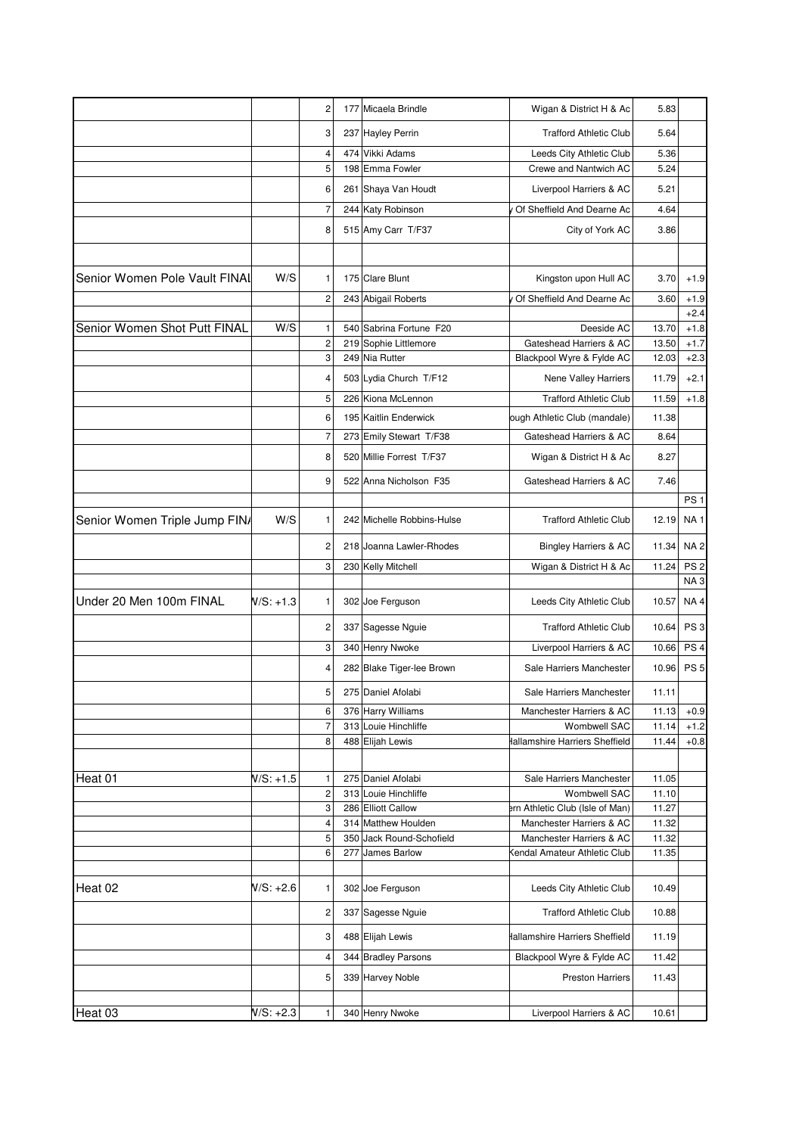|                               |             | 2                       |     | 177 Micaela Brindle                             | Wigan & District H & Ac                                         | 5.83           |                  |
|-------------------------------|-------------|-------------------------|-----|-------------------------------------------------|-----------------------------------------------------------------|----------------|------------------|
|                               |             | 3                       |     | 237 Hayley Perrin                               | <b>Trafford Athletic Club</b>                                   | 5.64           |                  |
|                               |             | 4                       |     | 474 Vikki Adams                                 | Leeds City Athletic Club                                        | 5.36           |                  |
|                               |             | 5                       |     | 198 Emma Fowler                                 | Crewe and Nantwich AC                                           | 5.24           |                  |
|                               |             | 6                       |     | 261 Shaya Van Houdt                             | Liverpool Harriers & AC                                         | 5.21           |                  |
|                               |             | $\overline{7}$          |     | 244 Katy Robinson                               | Of Sheffield And Dearne Ac                                      | 4.64           |                  |
|                               |             | 8                       |     | 515 Amy Carr T/F37                              | City of York AC                                                 | 3.86           |                  |
|                               |             |                         |     |                                                 |                                                                 |                |                  |
| Senior Women Pole Vault FINAL | W/S         | 1                       |     | 175 Clare Blunt                                 | Kingston upon Hull AC                                           | 3.70           | $+1.9$           |
|                               |             |                         |     |                                                 |                                                                 |                |                  |
|                               |             | $\overline{c}$          |     | 243 Abigail Roberts                             | Of Sheffield And Dearne Ac                                      | 3.60           | $+1.9$           |
| Senior Women Shot Putt FINAL  | W/S         | 1                       |     | 540 Sabrina Fortune F20                         | Deeside AC                                                      | 13.70          | $+2.4$<br>$+1.8$ |
|                               |             | $\overline{c}$          |     | 219 Sophie Littlemore                           | Gateshead Harriers & AC                                         | 13.50          | $+1.7$           |
|                               |             | 3                       |     | 249 Nia Rutter                                  | Blackpool Wyre & Fylde AC                                       | 12.03          | $+2.3$           |
|                               |             | 4                       |     | 503 Lydia Church T/F12                          | Nene Valley Harriers                                            | 11.79          | $+2.1$           |
|                               |             | 5                       |     | 226 Kiona McLennon                              | <b>Trafford Athletic Club</b>                                   | 11.59          | $+1.8$           |
|                               |             | 6                       |     | 195 Kaitlin Enderwick                           | ough Athletic Club (mandale)                                    | 11.38          |                  |
|                               |             | $\overline{7}$          |     | 273 Emily Stewart T/F38                         | Gateshead Harriers & AC                                         | 8.64           |                  |
|                               |             | 8                       |     | 520 Millie Forrest T/F37                        | Wigan & District H & Ac                                         | 8.27           |                  |
|                               |             | 9                       |     | 522 Anna Nicholson F35                          | Gateshead Harriers & AC                                         | 7.46           |                  |
|                               |             |                         |     |                                                 |                                                                 |                | PS <sub>1</sub>  |
| Senior Women Triple Jump FINA | W/S         | 1                       |     | 242 Michelle Robbins-Hulse                      | <b>Trafford Athletic Club</b>                                   | 12.19          | <b>NA1</b>       |
|                               |             | $\overline{c}$          |     | 218 Joanna Lawler-Rhodes                        | <b>Bingley Harriers &amp; AC</b>                                | 11.34          | <b>NA2</b>       |
|                               |             | 3                       |     | 230 Kelly Mitchell                              | Wigan & District H & Ac                                         | 11.24          | PS <sub>2</sub>  |
|                               |             |                         |     |                                                 |                                                                 |                | NA <sub>3</sub>  |
| Under 20 Men 100m FINAL       | $N/S: +1.3$ | 1                       |     | 302 Joe Ferguson                                | Leeds City Athletic Club                                        | 10.57          | NA4              |
|                               |             | $\overline{c}$          |     | 337 Sagesse Nguie                               | <b>Trafford Athletic Club</b>                                   | 10.64          | PS <sub>3</sub>  |
|                               |             | 3                       |     | 340 Henry Nwoke                                 | Liverpool Harriers & AC                                         | 10.66          | PS <sub>4</sub>  |
|                               |             | 4                       |     | 282 Blake Tiger-lee Brown                       | Sale Harriers Manchester                                        | 10.96          | PS <sub>5</sub>  |
|                               |             | 5                       |     | 275 Daniel Afolabi                              | Sale Harriers Manchester                                        | 11.11          |                  |
|                               |             | 6                       |     | 376 Harry Williams                              | Manchester Harriers & AC                                        | 11.13          | $+0.9$           |
|                               |             | $\overline{7}$          |     | 313 Louie Hinchliffe                            | <b>Wombwell SAC</b>                                             | 11.14          | $+1.2$           |
|                               |             | 8                       |     | 488 Elijah Lewis                                | Hallamshire Harriers Sheffield                                  | 11.44          | $+0.8$           |
|                               |             |                         |     |                                                 |                                                                 |                |                  |
| Heat 01                       | $N/S: +1.5$ | 1                       |     | 275 Daniel Afolabi                              | Sale Harriers Manchester                                        | 11.05          |                  |
|                               |             | $\overline{c}$          |     | 313 Louie Hinchliffe                            | <b>Wombwell SAC</b>                                             | 11.10          |                  |
|                               |             | 3                       |     | 286 Elliott Callow                              | ern Athletic Club (Isle of Man)                                 | 11.27          |                  |
|                               |             | 4<br>5                  |     | 314 Matthew Houlden<br>350 Jack Round-Schofield | Manchester Harriers & AC                                        | 11.32<br>11.32 |                  |
|                               |             | 6                       | 277 | James Barlow                                    | Manchester Harriers & AC<br><b>Kendal Amateur Athletic Club</b> | 11.35          |                  |
|                               |             |                         |     |                                                 |                                                                 |                |                  |
| Heat 02                       | $N/S: +2.6$ | 1                       |     | 302 Joe Ferguson                                | Leeds City Athletic Club                                        | 10.49          |                  |
|                               |             | $\overline{\mathbf{c}}$ |     | 337 Sagesse Nguie                               | <b>Trafford Athletic Club</b>                                   | 10.88          |                  |
|                               |             | 3                       |     | 488 Elijah Lewis                                | Hallamshire Harriers Sheffield                                  | 11.19          |                  |
|                               |             | 4                       |     | 344 Bradley Parsons                             | Blackpool Wyre & Fylde AC                                       | 11.42          |                  |
|                               |             | 5                       |     | 339 Harvey Noble                                | <b>Preston Harriers</b>                                         | 11.43          |                  |
|                               |             |                         |     |                                                 |                                                                 |                |                  |
| Heat 03                       | V/S: +2.3   | 1                       |     | 340 Henry Nwoke                                 | Liverpool Harriers & AC                                         | 10.61          |                  |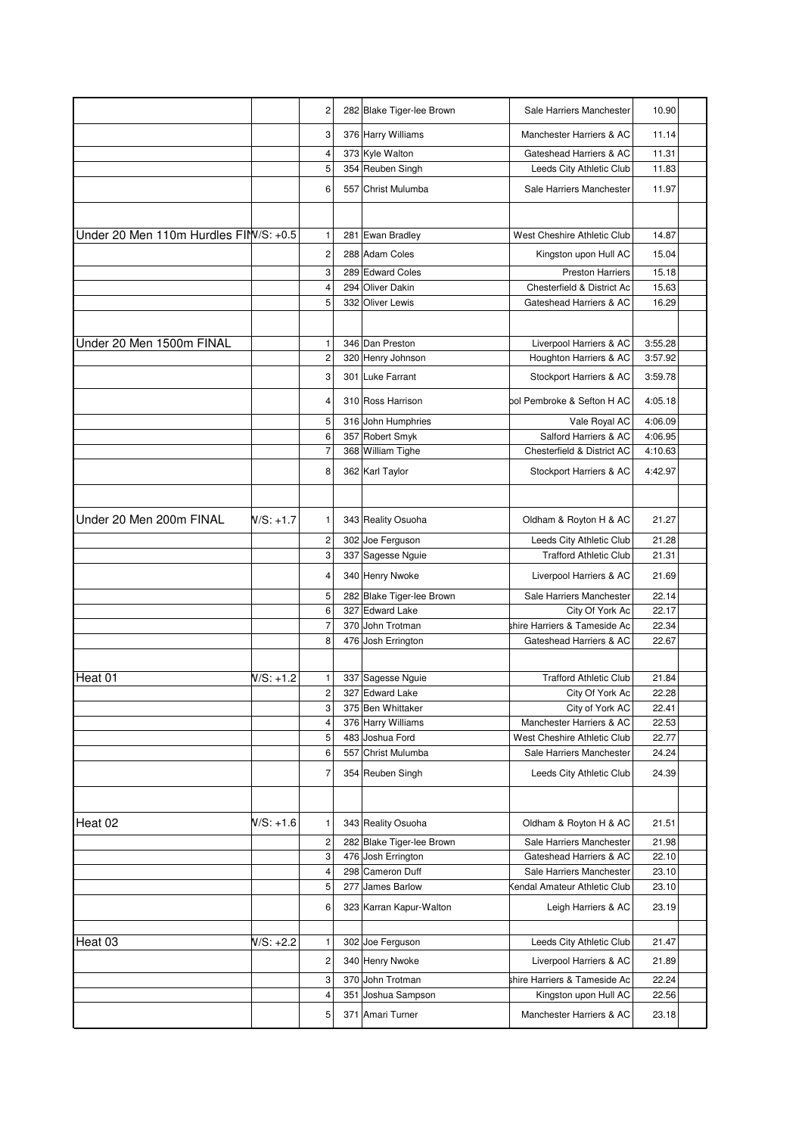|                                       |             | 2                       | 282 Blake Tiger-lee Brown | Sale Harriers Manchester                                | 10.90          |
|---------------------------------------|-------------|-------------------------|---------------------------|---------------------------------------------------------|----------------|
|                                       |             | 3                       | 376 Harry Williams        | Manchester Harriers & AC                                | 11.14          |
|                                       |             | 4                       | 373 Kyle Walton           | Gateshead Harriers & AC                                 | 11.31          |
|                                       |             | 5                       | 354 Reuben Singh          | Leeds City Athletic Club                                | 11.83          |
|                                       |             | 6                       | 557 Christ Mulumba        | Sale Harriers Manchester                                | 11.97          |
|                                       |             |                         |                           |                                                         |                |
| Under 20 Men 110m Hurdles FIM/S: +0.5 |             | 1                       | 281 Ewan Bradley          | West Cheshire Athletic Club                             | 14.87          |
|                                       |             | $\overline{c}$          | 288 Adam Coles            | Kingston upon Hull AC                                   | 15.04          |
|                                       |             | 3                       | 289 Edward Coles          | <b>Preston Harriers</b>                                 | 15.18          |
|                                       |             | 4                       | 294 Oliver Dakin          | Chesterfield & District Ac                              | 15.63          |
|                                       |             | 5                       | 332 Oliver Lewis          | Gateshead Harriers & AC                                 | 16.29          |
|                                       |             |                         |                           |                                                         |                |
| Under 20 Men 1500m FINAL              |             | $\mathbf{1}$            | 346 Dan Preston           | Liverpool Harriers & AC                                 | 3:55.28        |
|                                       |             | $\mathbf 2$             | 320 Henry Johnson         | Houghton Harriers & AC                                  | 3:57.92        |
|                                       |             |                         |                           |                                                         |                |
|                                       |             | 3                       | 301 Luke Farrant          | Stockport Harriers & AC                                 | 3:59.78        |
|                                       |             | 4                       | 310 Ross Harrison         | ool Pembroke & Sefton H AC                              | 4:05.18        |
|                                       |             | 5                       | 316 John Humphries        | Vale Royal AC                                           | 4:06.09        |
|                                       |             | 6                       | 357 Robert Smyk           | Salford Harriers & AC                                   | 4:06.95        |
|                                       |             | $\overline{7}$          | 368 William Tighe         | Chesterfield & District AC                              | 4:10.63        |
|                                       |             | 8                       | 362 Karl Taylor           | Stockport Harriers & AC                                 | 4:42.97        |
|                                       |             |                         |                           |                                                         |                |
| Under 20 Men 200m FINAL               | N/S: +1.7   | 1                       | 343 Reality Osuoha        | Oldham & Royton H & AC                                  | 21.27          |
|                                       |             |                         |                           |                                                         |                |
|                                       |             | $\overline{\mathbf{c}}$ | 302 Joe Ferguson          | Leeds City Athletic Club                                | 21.28          |
|                                       |             | 3                       | 337 Sagesse Nguie         | <b>Trafford Athletic Club</b>                           | 21.31          |
|                                       |             | 4                       | 340 Henry Nwoke           | Liverpool Harriers & AC                                 | 21.69          |
|                                       |             | 5                       | 282 Blake Tiger-lee Brown | Sale Harriers Manchester                                | 22.14          |
|                                       |             | 6                       | 327 Edward Lake           | City Of York Ac                                         | 22.17          |
|                                       |             | $\overline{7}$<br>8     | 370 John Trotman          | shire Harriers & Tameside Ac<br>Gateshead Harriers & AC | 22.34<br>22.67 |
|                                       |             |                         | 476 Josh Errington        |                                                         |                |
|                                       |             |                         |                           |                                                         |                |
| Heat 01                               | $N/S: +1.2$ | 1                       | 337 Sagesse Nguie         | <b>Trafford Athletic Club</b>                           | 21.84          |
|                                       |             | $\overline{c}$          | 327 Edward Lake           | City Of York Ac                                         | 22.28          |
|                                       |             | 3                       | 375 Ben Whittaker         | City of York AC                                         | 22.41          |
|                                       |             | $\overline{\mathbf{4}}$ | 376 Harry Williams        | Manchester Harriers & AC                                | 22.53          |
|                                       |             | 5                       | 483 Joshua Ford           | West Cheshire Athletic Club                             | 22.77          |
|                                       |             | 6                       | 557 Christ Mulumba        | Sale Harriers Manchester                                | 24.24          |
|                                       |             | 7                       | 354 Reuben Singh          | Leeds City Athletic Club                                | 24.39          |
|                                       |             |                         |                           |                                                         |                |
| Heat 02                               | W/S: +1.6   | 1                       | 343 Reality Osuoha        | Oldham & Royton H & AC                                  | 21.51          |
|                                       |             |                         |                           |                                                         |                |
|                                       |             | $\overline{\mathbf{c}}$ | 282 Blake Tiger-lee Brown | Sale Harriers Manchester                                | 21.98          |
|                                       |             | 3                       | 476 Josh Errington        | Gateshead Harriers & AC                                 | 22.10          |
|                                       |             | 4<br>5                  | 298 Cameron Duff          | Sale Harriers Manchester                                | 23.10          |
|                                       |             |                         | 277 James Barlow          | Kendal Amateur Athletic Club                            | 23.10          |
|                                       |             | 6                       | 323 Karran Kapur-Walton   | Leigh Harriers & AC                                     | 23.19          |
| Heat 03                               | $N/S: +2.2$ | $\mathbf{1}$            | 302 Joe Ferguson          | Leeds City Athletic Club                                | 21.47          |
|                                       |             | $\overline{\mathbf{c}}$ | 340 Henry Nwoke           | Liverpool Harriers & AC                                 | 21.89          |
|                                       |             | 3                       | 370 John Trotman          | shire Harriers & Tameside Ac                            | 22.24          |
|                                       |             | 4                       | 351 Joshua Sampson        | Kingston upon Hull AC                                   | 22.56          |
|                                       |             |                         |                           |                                                         |                |
|                                       |             | 5                       | 371 Amari Turner          | Manchester Harriers & AC                                | 23.18          |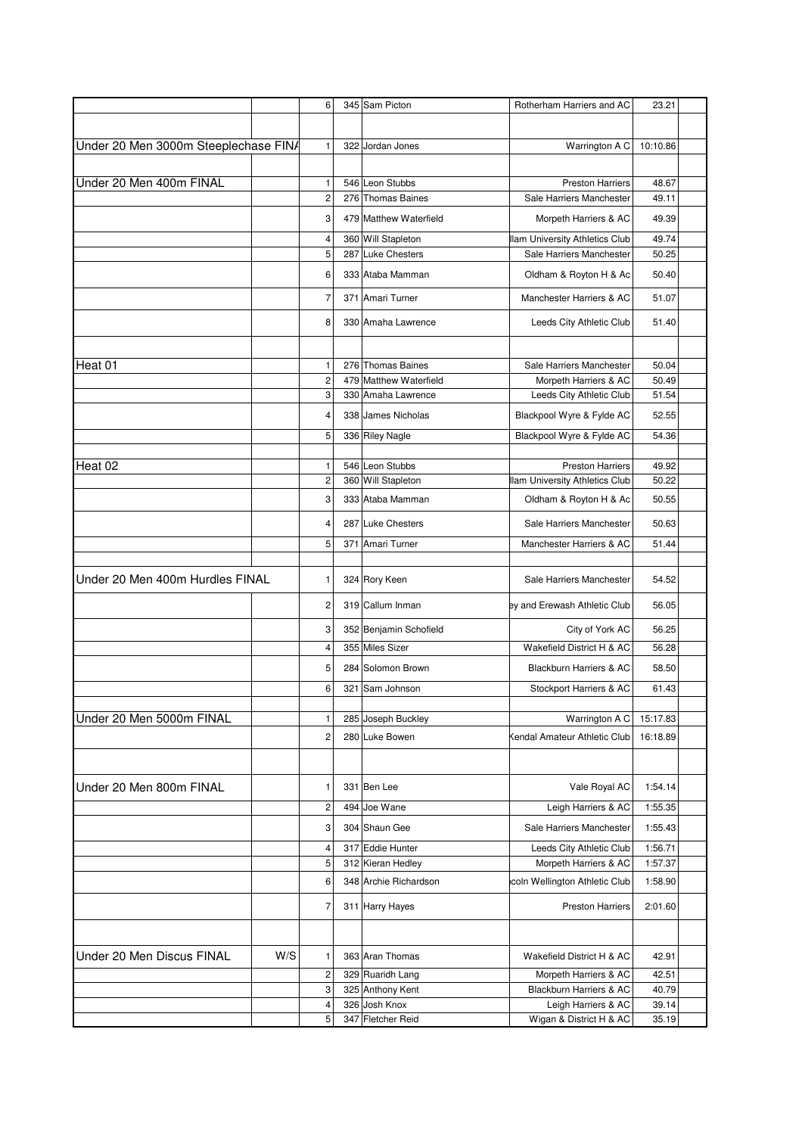|                                      |     | 6                       | 345 Sam Picton         | Rotherham Harriers and AC             | 23.21    |  |
|--------------------------------------|-----|-------------------------|------------------------|---------------------------------------|----------|--|
|                                      |     |                         |                        |                                       |          |  |
|                                      |     |                         |                        |                                       |          |  |
| Under 20 Men 3000m Steeplechase FIN/ |     | 1                       | 322 Jordan Jones       | Warrington A C                        | 10:10.86 |  |
|                                      |     |                         |                        |                                       |          |  |
| Under 20 Men 400m FINAL              |     | 1                       | 546 Leon Stubbs        | <b>Preston Harriers</b>               | 48.67    |  |
|                                      |     | $\overline{\mathbf{c}}$ | 276 Thomas Baines      | Sale Harriers Manchester              | 49.11    |  |
|                                      |     | 3                       | 479 Matthew Waterfield | Morpeth Harriers & AC                 | 49.39    |  |
|                                      |     | 4                       | 360 Will Stapleton     | <b>Ilam University Athletics Club</b> | 49.74    |  |
|                                      |     | 5                       | 287 Luke Chesters      | Sale Harriers Manchester              | 50.25    |  |
|                                      |     | 6                       | 333 Ataba Mamman       | Oldham & Royton H & Ac                | 50.40    |  |
|                                      |     | 7                       | 371 Amari Turner       | Manchester Harriers & AC              | 51.07    |  |
|                                      |     | 8                       | 330 Amaha Lawrence     | Leeds City Athletic Club              | 51.40    |  |
|                                      |     |                         |                        |                                       |          |  |
| Heat 01                              |     | 1                       | 276 Thomas Baines      | Sale Harriers Manchester              | 50.04    |  |
|                                      |     | $\overline{c}$          | 479 Matthew Waterfield | Morpeth Harriers & AC                 | 50.49    |  |
|                                      |     | 3                       | 330 Amaha Lawrence     | Leeds City Athletic Club              | 51.54    |  |
|                                      |     | 4                       | 338 James Nicholas     | Blackpool Wyre & Fylde AC             | 52.55    |  |
|                                      |     | 5                       | 336 Riley Nagle        | Blackpool Wyre & Fylde AC             | 54.36    |  |
|                                      |     |                         |                        |                                       |          |  |
| Heat 02                              |     | 1                       | 546 Leon Stubbs        | <b>Preston Harriers</b>               | 49.92    |  |
|                                      |     | $\overline{c}$          | 360 Will Stapleton     | llam University Athletics Club        | 50.22    |  |
|                                      |     | 3                       | 333 Ataba Mamman       | Oldham & Royton H & Ac                | 50.55    |  |
|                                      |     | 4                       | 287 Luke Chesters      | Sale Harriers Manchester              | 50.63    |  |
|                                      |     | 5                       | 371 Amari Turner       | Manchester Harriers & AC              | 51.44    |  |
| Under 20 Men 400m Hurdles FINAL      |     | 1                       | 324 Rory Keen          | Sale Harriers Manchester              | 54.52    |  |
|                                      |     | $\overline{\mathbf{c}}$ | 319 Callum Inman       | ey and Erewash Athletic Club          | 56.05    |  |
|                                      |     | 3                       | 352 Benjamin Schofield | City of York AC                       | 56.25    |  |
|                                      |     | 4                       | 355 Miles Sizer        | Wakefield District H & AC             | 56.28    |  |
|                                      |     | 5                       | 284 Solomon Brown      | Blackburn Harriers & AC               | 58.50    |  |
|                                      |     | 6                       | 321 Sam Johnson        | Stockport Harriers & AC               | 61.43    |  |
|                                      |     |                         |                        |                                       |          |  |
| Under 20 Men 5000m FINAL             |     | 1                       | 285 Joseph Buckley     | Warrington A C                        | 15:17.83 |  |
|                                      |     | 2                       | 280 Luke Bowen         | Kendal Amateur Athletic Club          | 16:18.89 |  |
| Under 20 Men 800m FINAL              |     | 1                       | 331 Ben Lee            | Vale Royal AC                         | 1:54.14  |  |
|                                      |     | 2                       | 494 Joe Wane           | Leigh Harriers & AC                   | 1:55.35  |  |
|                                      |     | 3                       | 304 Shaun Gee          | Sale Harriers Manchester              | 1:55.43  |  |
|                                      |     | 4                       | 317 Eddie Hunter       | Leeds City Athletic Club              | 1:56.71  |  |
|                                      |     | 5                       | 312 Kieran Hedley      | Morpeth Harriers & AC                 | 1:57.37  |  |
|                                      |     | 6                       | 348 Archie Richardson  | icoln Wellington Athletic Club        | 1:58.90  |  |
|                                      |     | 7                       | 311 Harry Hayes        | <b>Preston Harriers</b>               | 2:01.60  |  |
|                                      |     |                         |                        |                                       |          |  |
| Under 20 Men Discus FINAL            | W/S | 1                       | 363 Aran Thomas        | Wakefield District H & AC             | 42.91    |  |
|                                      |     | 2                       | 329 Ruaridh Lang       | Morpeth Harriers & AC                 | 42.51    |  |
|                                      |     | 3                       | 325 Anthony Kent       | Blackburn Harriers & AC               | 40.79    |  |
|                                      |     | 4                       | 326 Josh Knox          | Leigh Harriers & AC                   | 39.14    |  |
|                                      |     | 5                       | 347 Fletcher Reid      | Wigan & District H & AC               | 35.19    |  |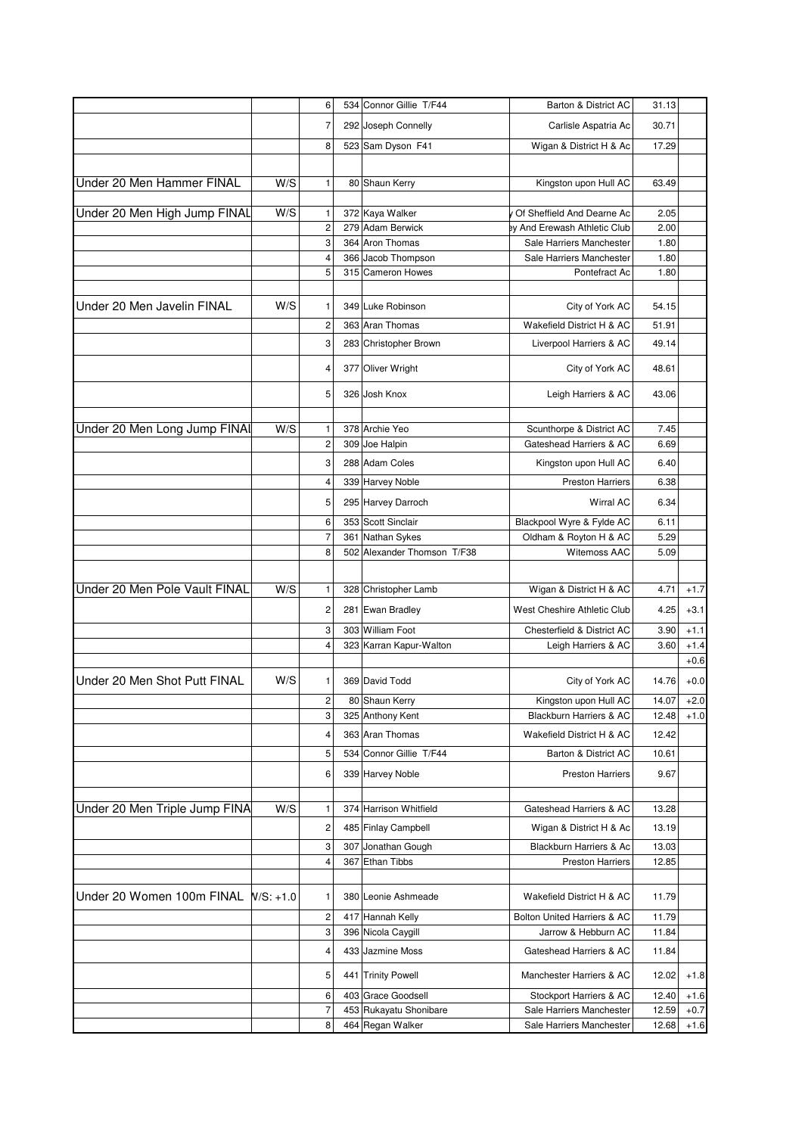|                                     |     | 6                       |     | 534 Connor Gillie T/F44 | Barton & District AC                                       | 31.13          |        |
|-------------------------------------|-----|-------------------------|-----|-------------------------|------------------------------------------------------------|----------------|--------|
|                                     |     | 7                       |     | 292 Joseph Connelly     | Carlisle Aspatria Ac                                       | 30.71          |        |
|                                     |     | 8                       |     | 523 Sam Dyson F41       | Wigan & District H & Ac                                    | 17.29          |        |
|                                     |     |                         |     |                         |                                                            |                |        |
|                                     |     |                         |     |                         |                                                            |                |        |
| Under 20 Men Hammer FINAL           | W/S | 1                       |     | 80 Shaun Kerry          | Kingston upon Hull AC                                      | 63.49          |        |
|                                     | W/S |                         |     | 372 Kaya Walker         |                                                            |                |        |
| Under 20 Men High Jump FINAL        |     | 1<br>$\overline{c}$     |     | 279 Adam Berwick        | Of Sheffield And Dearne Ac<br>ey And Erewash Athletic Club | 2.05<br>2.00   |        |
|                                     |     | 3                       |     | 364 Aron Thomas         | Sale Harriers Manchester                                   | 1.80           |        |
|                                     |     | 4                       | 366 | Jacob Thompson          | Sale Harriers Manchester                                   | 1.80           |        |
|                                     |     | 5                       |     | 315 Cameron Howes       | Pontefract Ac                                              | 1.80           |        |
|                                     |     |                         |     |                         |                                                            |                |        |
| Under 20 Men Javelin FINAL          | W/S | 1                       |     | 349 Luke Robinson       | City of York AC                                            | 54.15          |        |
|                                     |     | 2                       |     | 363 Aran Thomas         | Wakefield District H & AC                                  | 51.91          |        |
|                                     |     |                         |     |                         |                                                            |                |        |
|                                     |     | 3                       |     | 283 Christopher Brown   | Liverpool Harriers & AC                                    | 49.14          |        |
|                                     |     | 4                       |     | 377 Oliver Wright       | City of York AC                                            | 48.61          |        |
|                                     |     | 5                       |     | 326 Josh Knox           | Leigh Harriers & AC                                        | 43.06          |        |
| Under 20 Men Long Jump FINAI        | W/S | 1                       |     | 378 Archie Yeo          | Scunthorpe & District AC                                   | 7.45           |        |
|                                     |     | 2                       |     | 309 Joe Halpin          | Gateshead Harriers & AC                                    | 6.69           |        |
|                                     |     | 3                       |     | 288 Adam Coles          | Kingston upon Hull AC                                      | 6.40           |        |
|                                     |     | 4                       |     | 339 Harvey Noble        | <b>Preston Harriers</b>                                    | 6.38           |        |
|                                     |     | 5                       |     | 295 Harvey Darroch      | <b>Wirral AC</b>                                           | 6.34           |        |
|                                     |     | 6                       | 353 | Scott Sinclair          | Blackpool Wyre & Fylde AC                                  | 6.11           |        |
|                                     |     | $\overline{7}$          | 361 | Nathan Sykes            | Oldham & Royton H & AC                                     | 5.29           |        |
|                                     |     | 8                       | 502 | Alexander Thomson T/F38 | <b>Witemoss AAC</b>                                        | 5.09           |        |
|                                     |     |                         |     |                         |                                                            |                |        |
| Under 20 Men Pole Vault FINAL       | W/S | 1                       |     | 328 Christopher Lamb    | Wigan & District H & AC                                    | 4.71           | $+1.7$ |
|                                     |     | 2                       |     | 281 Ewan Bradley        | West Cheshire Athletic Club                                | 4.25           | $+3.1$ |
|                                     |     | 3                       |     | 303 William Foot        | Chesterfield & District AC                                 | 3.90           | $+1.1$ |
|                                     |     | $\overline{\mathbf{4}}$ |     | 323 Karran Kapur-Walton | Leigh Harriers & AC                                        | 3.60           | $+1.4$ |
|                                     |     |                         |     |                         |                                                            |                | $+0.6$ |
| Under 20 Men Shot Putt FINAL        | W/S | 1                       |     | 369 David Todd          | City of York AC                                            | 14.76          | $+0.0$ |
|                                     |     | $\overline{2}$          |     | 80 Shaun Kerry          |                                                            |                | $+2.0$ |
|                                     |     | 3                       |     | 325 Anthony Kent        | Kingston upon Hull AC<br>Blackburn Harriers & AC           | 14.07<br>12.48 | $+1.0$ |
|                                     |     |                         |     |                         |                                                            |                |        |
|                                     |     | 4                       |     | 363 Aran Thomas         | Wakefield District H & AC                                  | 12.42          |        |
|                                     |     | 5                       |     | 534 Connor Gillie T/F44 | Barton & District AC                                       | 10.61          |        |
|                                     |     | 6                       |     | 339 Harvey Noble        | <b>Preston Harriers</b>                                    | 9.67           |        |
| Under 20 Men Triple Jump FINA       | W/S | 1                       |     | 374 Harrison Whitfield  | Gateshead Harriers & AC                                    | 13.28          |        |
|                                     |     | 2                       |     | 485 Finlay Campbell     | Wigan & District H & Ac                                    | 13.19          |        |
|                                     |     | 3                       |     | 307 Jonathan Gough      | Blackburn Harriers & Ac                                    | 13.03          |        |
|                                     |     | 4                       |     | 367 Ethan Tibbs         | <b>Preston Harriers</b>                                    | 12.85          |        |
|                                     |     |                         |     |                         |                                                            |                |        |
| Under 20 Women 100m FINAL W/S: +1.0 |     | 1                       |     | 380 Leonie Ashmeade     | Wakefield District H & AC                                  | 11.79          |        |
|                                     |     | 2                       |     | 417 Hannah Kelly        | Bolton United Harriers & AC                                | 11.79          |        |
|                                     |     | 3                       |     | 396 Nicola Caygill      | Jarrow & Hebburn AC                                        | 11.84          |        |
|                                     |     | 4                       |     | 433 Jazmine Moss        | Gateshead Harriers & AC                                    | 11.84          |        |
|                                     |     | 5                       |     | 441 Trinity Powell      | Manchester Harriers & AC                                   | 12.02          | $+1.8$ |
|                                     |     | 6                       |     | 403 Grace Goodsell      | Stockport Harriers & AC                                    | 12.40          | $+1.6$ |
|                                     |     | 7                       |     | 453 Rukayatu Shonibare  | Sale Harriers Manchester                                   | 12.59          | $+0.7$ |
|                                     |     | 8                       |     | 464 Regan Walker        | Sale Harriers Manchester                                   | 12.68          | $+1.6$ |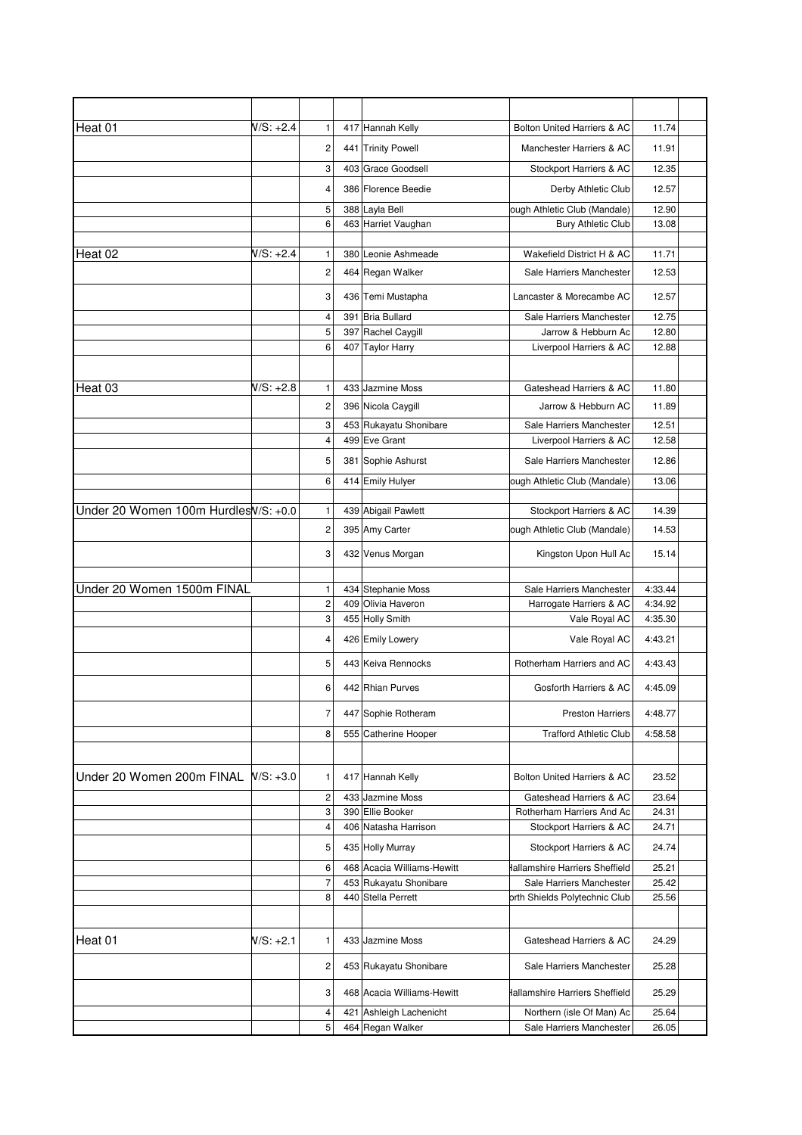| Heat 01                               | $N/S: +2.4$ | $\mathbf{1}$        |     | 417 Hannah Kelly                      | Bolton United Harriers & AC              | 11.74              |
|---------------------------------------|-------------|---------------------|-----|---------------------------------------|------------------------------------------|--------------------|
|                                       |             | 2                   |     | 441 Trinity Powell                    | Manchester Harriers & AC                 | 11.91              |
|                                       |             | 3                   |     | 403 Grace Goodsell                    | Stockport Harriers & AC                  | 12.35              |
|                                       |             | 4                   |     | 386 Florence Beedie                   | Derby Athletic Club                      | 12.57              |
|                                       |             | 5                   |     | 388 Layla Bell                        | ough Athletic Club (Mandale)             | 12.90              |
|                                       |             | 6                   |     | 463 Harriet Vaughan                   | <b>Bury Athletic Club</b>                | 13.08              |
| Heat 02                               | N/S: +2.4   | 1                   |     | 380 Leonie Ashmeade                   | Wakefield District H & AC                | 11.71              |
|                                       |             | $\overline{c}$      |     | 464 Regan Walker                      | Sale Harriers Manchester                 | 12.53              |
|                                       |             | 3                   |     | 436 Temi Mustapha                     | Lancaster & Morecambe AC                 | 12.57              |
|                                       |             | 4                   |     | 391 Bria Bullard                      | Sale Harriers Manchester                 | 12.75              |
|                                       |             | 5                   |     | 397 Rachel Caygill                    | Jarrow & Hebburn Ac                      | 12.80              |
|                                       |             | 6                   |     | 407 Taylor Harry                      | Liverpool Harriers & AC                  | 12.88              |
|                                       |             |                     |     |                                       |                                          |                    |
| Heat 03                               | $N/S: +2.8$ | 1                   |     | 433 Jazmine Moss                      | Gateshead Harriers & AC                  | 11.80              |
|                                       |             | 2                   |     | 396 Nicola Caygill                    | Jarrow & Hebburn AC                      | 11.89              |
|                                       |             | 3                   |     | 453 Rukayatu Shonibare                | Sale Harriers Manchester                 | 12.51              |
|                                       |             | 4                   |     | 499 Eve Grant                         | Liverpool Harriers & AC                  | 12.58              |
|                                       |             | 5                   |     | 381 Sophie Ashurst                    | Sale Harriers Manchester                 | 12.86              |
|                                       |             | 6                   |     | 414 Emily Hulyer                      | ough Athletic Club (Mandale)             | 13.06              |
|                                       |             |                     |     |                                       |                                          |                    |
| Under 20 Women 100m Hurdles W/S: +0.0 |             | $\mathbf{1}$        |     | 439 Abigail Pawlett                   | Stockport Harriers & AC                  | 14.39              |
|                                       |             | $\overline{c}$      |     | 395 Amy Carter                        | ough Athletic Club (Mandale)             | 14.53              |
|                                       |             | 3                   |     | 432 Venus Morgan                      | Kingston Upon Hull Ac                    | 15.14              |
|                                       |             |                     |     |                                       |                                          |                    |
| Under 20 Women 1500m FINAL            |             | $\mathbf{1}$        |     | 434 Stephanie Moss                    | Sale Harriers Manchester                 | 4:33.44            |
|                                       |             | $\overline{c}$<br>3 |     | 409 Olivia Haveron<br>455 Holly Smith | Harrogate Harriers & AC<br>Vale Royal AC | 4:34.92<br>4:35.30 |
|                                       |             |                     |     |                                       |                                          |                    |
|                                       |             | 4                   |     | 426 Emily Lowery                      | Vale Royal AC                            | 4:43.21            |
|                                       |             | 5                   |     | 443 Keiva Rennocks                    | Rotherham Harriers and AC                | 4:43.43            |
|                                       |             | 6                   |     | 442 Rhian Purves                      | Gosforth Harriers & AC                   | 4:45.09            |
|                                       |             | 7                   |     | 447 Sophie Rotheram                   | <b>Preston Harriers</b>                  | 4:48.77            |
|                                       |             | 8                   |     | 555 Catherine Hooper                  | <b>Trafford Athletic Club</b>            | 4:58.58            |
|                                       |             |                     |     |                                       |                                          |                    |
| Under 20 Women 200m FINAL W/S: +3.0   |             | 1                   |     | 417 Hannah Kelly                      | Bolton United Harriers & AC              | 23.52              |
|                                       |             | 2                   | 433 | Jazmine Moss                          | Gateshead Harriers & AC                  | 23.64              |
|                                       |             | 3                   |     | 390 Ellie Booker                      | Rotherham Harriers And Ac                | 24.31              |
|                                       |             | 4                   |     | 406 Natasha Harrison                  | Stockport Harriers & AC                  | 24.71              |
|                                       |             | 5                   |     | 435 Holly Murray                      | Stockport Harriers & AC                  | 24.74              |
|                                       |             | 6                   |     | 468 Acacia Williams-Hewitt            | Hallamshire Harriers Sheffield           | 25.21              |
|                                       |             | $\overline{7}$      |     | 453 Rukayatu Shonibare                | Sale Harriers Manchester                 | 25.42              |
|                                       |             | 8                   |     | 440 Stella Perrett                    | orth Shields Polytechnic Club            | 25.56              |
| Heat 01                               | N/S: +2.1   | 1                   |     | 433 Jazmine Moss                      | Gateshead Harriers & AC                  | 24.29              |
|                                       |             | 2                   |     | 453 Rukayatu Shonibare                | Sale Harriers Manchester                 | 25.28              |
|                                       |             | 3                   |     | 468 Acacia Williams-Hewitt            | Hallamshire Harriers Sheffield           | 25.29              |
|                                       |             | 4                   |     | 421 Ashleigh Lachenicht               | Northern (isle Of Man) Ac                | 25.64              |
|                                       |             | 5                   |     | 464 Regan Walker                      | Sale Harriers Manchester                 | 26.05              |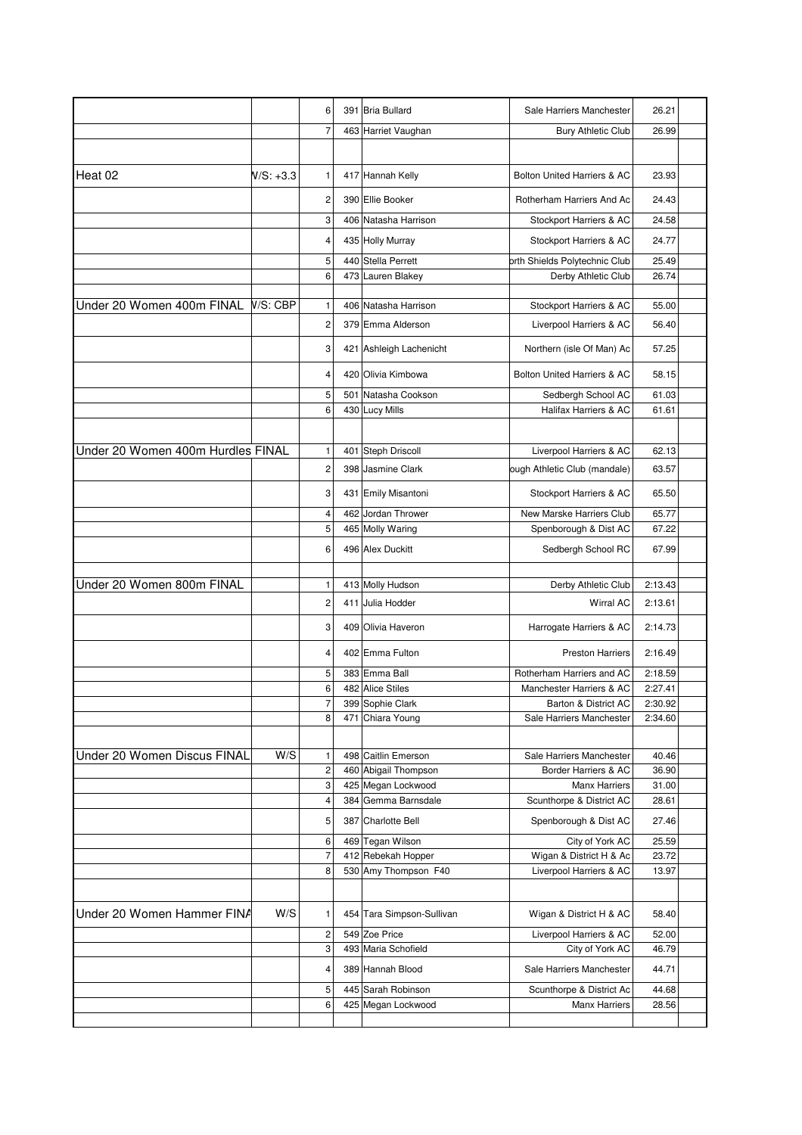|                                   |           | 6              |     | 391 Bria Bullard                           | Sale Harriers Manchester                           | 26.21          |  |
|-----------------------------------|-----------|----------------|-----|--------------------------------------------|----------------------------------------------------|----------------|--|
|                                   |           | $\overline{7}$ |     | 463 Harriet Vaughan                        | <b>Bury Athletic Club</b>                          | 26.99          |  |
|                                   |           |                |     |                                            |                                                    |                |  |
| Heat 02                           | N/S: +3.3 | 1              |     | 417 Hannah Kelly                           | Bolton United Harriers & AC                        | 23.93          |  |
|                                   |           | 2              |     | 390 Ellie Booker                           | Rotherham Harriers And Ac                          | 24.43          |  |
|                                   |           | 3              |     | 406 Natasha Harrison                       | Stockport Harriers & AC                            | 24.58          |  |
|                                   |           | 4              |     | 435 Holly Murray                           | Stockport Harriers & AC                            | 24.77          |  |
|                                   |           | 5              |     | 440 Stella Perrett                         | orth Shields Polytechnic Club                      | 25.49          |  |
|                                   |           | 6              |     | 473 Lauren Blakey                          | Derby Athletic Club                                | 26.74          |  |
|                                   |           |                |     |                                            |                                                    |                |  |
| Under 20 Women 400m FINAL         | V/S: CBP  | 1              | 406 | Natasha Harrison                           | Stockport Harriers & AC                            | 55.00          |  |
|                                   |           | 2              |     | 379 Emma Alderson                          | Liverpool Harriers & AC                            | 56.40          |  |
|                                   |           | 3              |     | 421 Ashleigh Lachenicht                    | Northern (isle Of Man) Ac                          | 57.25          |  |
|                                   |           | 4              |     | 420 Olivia Kimbowa                         | Bolton United Harriers & AC                        | 58.15          |  |
|                                   |           | 5              | 501 | Natasha Cookson                            | Sedbergh School AC                                 | 61.03          |  |
|                                   |           | 6              |     | 430 Lucy Mills                             | Halifax Harriers & AC                              | 61.61          |  |
|                                   |           |                |     |                                            |                                                    |                |  |
| Under 20 Women 400m Hurdles FINAL |           | 1              |     | 401 Steph Driscoll                         | Liverpool Harriers & AC                            | 62.13          |  |
|                                   |           | $\mathbf 2$    |     | 398 Jasmine Clark                          | ough Athletic Club (mandale)                       | 63.57          |  |
|                                   |           | 3              |     | 431 Emily Misantoni                        | Stockport Harriers & AC                            | 65.50          |  |
|                                   |           | 4              |     | 462 Jordan Thrower                         | New Marske Harriers Club                           | 65.77          |  |
|                                   |           | 5              |     | 465 Molly Waring                           | Spenborough & Dist AC                              | 67.22          |  |
|                                   |           | 6              |     | 496 Alex Duckitt                           | Sedbergh School RC                                 | 67.99          |  |
|                                   |           |                |     |                                            |                                                    |                |  |
| Under 20 Women 800m FINAL         |           | 1              |     | 413 Molly Hudson                           | Derby Athletic Club                                | 2:13.43        |  |
|                                   |           | $\overline{c}$ | 411 | Julia Hodder                               | <b>Wirral AC</b>                                   | 2:13.61        |  |
|                                   |           | 3              | 409 | Olivia Haveron                             | Harrogate Harriers & AC                            | 2:14.73        |  |
|                                   |           | 4              |     | 402 Emma Fulton                            | <b>Preston Harriers</b>                            | 2:16.49        |  |
|                                   |           | 5              |     | 383 Emma Ball                              | Rotherham Harriers and AC                          | 2:18.59        |  |
|                                   |           | 6              |     | 482 Alice Stiles                           | Manchester Harriers & AC                           | 2:27.41        |  |
|                                   |           | $\overline{7}$ |     | 399 Sophie Clark                           | Barton & District AC                               | 2:30.92        |  |
|                                   |           | 8              |     | 471 Chiara Young                           | Sale Harriers Manchester                           | 2:34.60        |  |
|                                   |           |                |     |                                            |                                                    |                |  |
| Under 20 Women Discus FINAL       | W/S       | 1              |     | 498 Caitlin Emerson                        | Sale Harriers Manchester                           | 40.46          |  |
|                                   |           | 2              |     | 460 Abigail Thompson                       | Border Harriers & AC                               | 36.90          |  |
|                                   |           | 3              |     | 425 Megan Lockwood                         | <b>Manx Harriers</b>                               | 31.00          |  |
|                                   |           | 4              |     | 384 Gemma Barnsdale                        | Scunthorpe & District AC                           | 28.61          |  |
|                                   |           | 5              |     | 387 Charlotte Bell                         | Spenborough & Dist AC                              | 27.46          |  |
|                                   |           | 6              |     | 469 Tegan Wilson                           | City of York AC                                    | 25.59          |  |
|                                   |           | 7<br>8         |     | 412 Rebekah Hopper<br>530 Amy Thompson F40 | Wigan & District H & Ac<br>Liverpool Harriers & AC | 23.72<br>13.97 |  |
|                                   |           |                |     |                                            |                                                    |                |  |
|                                   |           |                |     |                                            |                                                    |                |  |
| Under 20 Women Hammer FINA        | W/S       | 1              |     | 454 Tara Simpson-Sullivan                  | Wigan & District H & AC                            | 58.40          |  |
|                                   |           | 2              |     | 549 Zoe Price                              | Liverpool Harriers & AC                            | 52.00          |  |
|                                   |           | 3              |     | 493 Maria Schofield                        | City of York AC                                    | 46.79          |  |
|                                   |           | 4              |     | 389 Hannah Blood                           | Sale Harriers Manchester                           | 44.71          |  |
|                                   |           | 5              |     | 445 Sarah Robinson                         | Scunthorpe & District Ac                           | 44.68          |  |
|                                   |           | 6              |     | 425 Megan Lockwood                         | <b>Manx Harriers</b>                               | 28.56          |  |
|                                   |           |                |     |                                            |                                                    |                |  |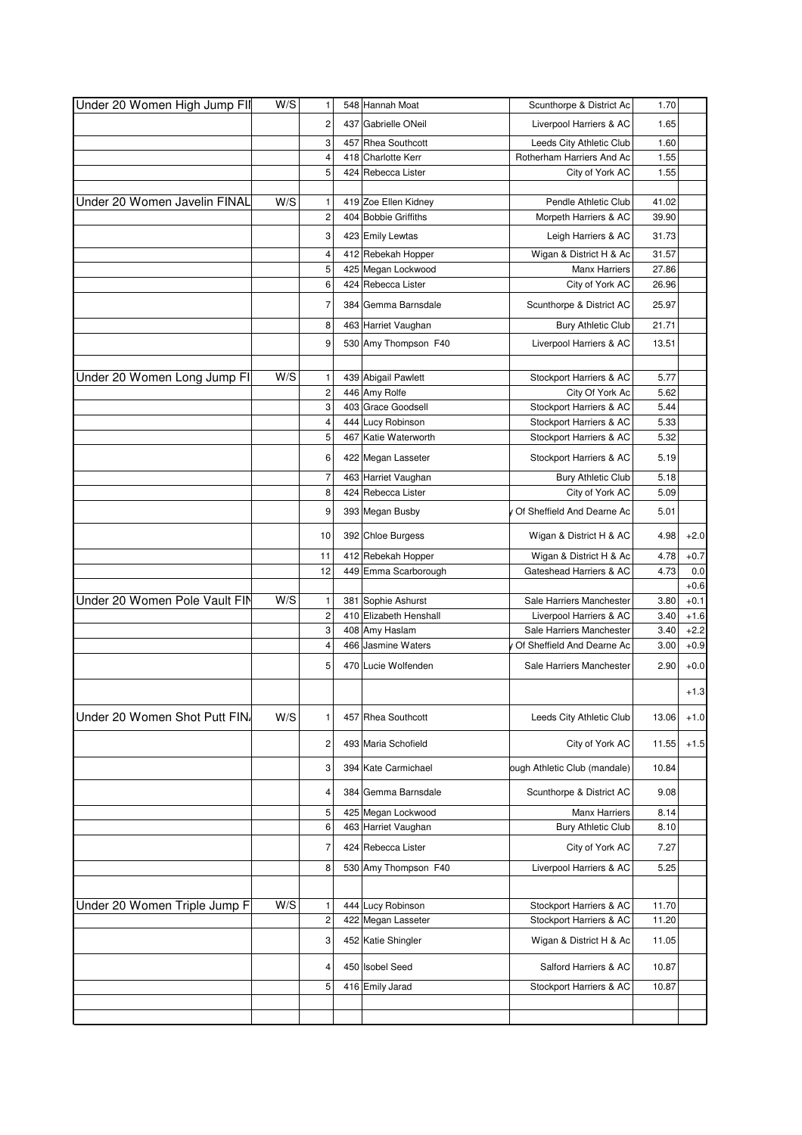| Under 20 Women High Jump FII  | W/S | 1                       | 548 Hannah Moat                           | Scunthorpe & District Ac     | 1.70         |        |
|-------------------------------|-----|-------------------------|-------------------------------------------|------------------------------|--------------|--------|
|                               |     | 2                       | 437 Gabrielle ONeil                       | Liverpool Harriers & AC      | 1.65         |        |
|                               |     | 3                       | 457 Rhea Southcott                        | Leeds City Athletic Club     | 1.60         |        |
|                               |     | 4                       | 418 Charlotte Kerr                        | Rotherham Harriers And Ac    | 1.55         |        |
|                               |     | 5                       | 424 Rebecca Lister                        | City of York AC              | 1.55         |        |
|                               |     |                         |                                           |                              |              |        |
| Under 20 Women Javelin FINAL  | W/S | $\mathbf{1}$            | 419 Zoe Ellen Kidney                      | Pendle Athletic Club         | 41.02        |        |
|                               |     | $\overline{c}$          | 404 Bobbie Griffiths                      | Morpeth Harriers & AC        | 39.90        |        |
|                               |     | 3                       | 423 Emily Lewtas                          | Leigh Harriers & AC          | 31.73        |        |
|                               |     | 4                       | 412 Rebekah Hopper                        | Wigan & District H & Ac      | 31.57        |        |
|                               |     | 5                       | 425 Megan Lockwood                        | <b>Manx Harriers</b>         | 27.86        |        |
|                               |     | 6                       | 424 Rebecca Lister                        | City of York AC              | 26.96        |        |
|                               |     | $\overline{7}$          | 384 Gemma Barnsdale                       | Scunthorpe & District AC     | 25.97        |        |
|                               |     | 8                       | 463 Harriet Vaughan                       | <b>Bury Athletic Club</b>    | 21.71        |        |
|                               |     | 9                       | 530 Amy Thompson F40                      | Liverpool Harriers & AC      | 13.51        |        |
|                               |     |                         |                                           |                              |              |        |
| Under 20 Women Long Jump FI   | W/S | 1                       | 439 Abigail Pawlett                       | Stockport Harriers & AC      | 5.77         |        |
|                               |     | $\overline{c}$          | 446 Amy Rolfe                             | City Of York Ac              | 5.62         |        |
|                               |     | 3                       | 403 Grace Goodsell                        | Stockport Harriers & AC      | 5.44         |        |
|                               |     | $\overline{\mathbf{4}}$ | 444 Lucy Robinson                         | Stockport Harriers & AC      | 5.33         |        |
|                               |     | 5                       | 467 Katie Waterworth                      | Stockport Harriers & AC      | 5.32         |        |
|                               |     | 6                       | 422 Megan Lasseter                        | Stockport Harriers & AC      | 5.19         |        |
|                               |     | $\overline{7}$          | 463 Harriet Vaughan                       | <b>Bury Athletic Club</b>    | 5.18         |        |
|                               |     | 8                       | 424 Rebecca Lister                        | City of York AC              | 5.09         |        |
|                               |     | 9                       | 393 Megan Busby                           | Of Sheffield And Dearne Ac   | 5.01         |        |
|                               |     | 10                      | 392 Chloe Burgess                         | Wigan & District H & AC      | 4.98         | $+2.0$ |
|                               |     | 11                      | 412 Rebekah Hopper                        | Wigan & District H & Ac      | 4.78         | $+0.7$ |
|                               |     | 12                      | 449 Emma Scarborough                      | Gateshead Harriers & AC      | 4.73         | 0.0    |
|                               |     |                         |                                           |                              |              | $+0.6$ |
| Under 20 Women Pole Vault FIN | W/S | 1                       | 381 Sophie Ashurst                        | Sale Harriers Manchester     | 3.80         | $+0.1$ |
|                               |     | $\overline{\mathbf{c}}$ | 410 Elizabeth Henshall                    | Liverpool Harriers & AC      | 3.40         | $+1.6$ |
|                               |     | 3                       | 408 Amy Haslam                            | Sale Harriers Manchester     | 3.40         | $+2.2$ |
|                               |     | 4                       | 466 Jasmine Waters                        | Of Sheffield And Dearne Ac   | 3.00         | $+0.9$ |
|                               |     | 5                       | 470 Lucie Wolfenden                       | Sale Harriers Manchester     | 2.90         | $+0.0$ |
|                               |     |                         |                                           |                              |              | $+1.3$ |
| Under 20 Women Shot Putt FIN  | W/S | 1                       | 457 Rhea Southcott                        | Leeds City Athletic Club     | 13.06        | $+1.0$ |
|                               |     | $\overline{\mathbf{c}}$ | 493 Maria Schofield                       | City of York AC              | 11.55        | $+1.5$ |
|                               |     | 3                       | 394 Kate Carmichael                       | ough Athletic Club (mandale) | 10.84        |        |
|                               |     |                         |                                           |                              |              |        |
|                               |     | 4                       | 384 Gemma Barnsdale                       | Scunthorpe & District AC     | 9.08         |        |
|                               |     |                         |                                           |                              |              |        |
|                               |     | 5                       | 425 Megan Lockwood                        | <b>Manx Harriers</b>         | 8.14         |        |
|                               |     | 6<br>7                  | 463 Harriet Vaughan<br>424 Rebecca Lister | <b>Bury Athletic Club</b>    | 8.10<br>7.27 |        |
|                               |     |                         |                                           | City of York AC              |              |        |
|                               |     | 8                       | 530 Amy Thompson F40                      | Liverpool Harriers & AC      | 5.25         |        |
|                               |     |                         |                                           |                              |              |        |
| Under 20 Women Triple Jump F  | W/S | 1                       | 444 Lucy Robinson                         | Stockport Harriers & AC      | 11.70        |        |
|                               |     | $\overline{c}$          | 422 Megan Lasseter                        | Stockport Harriers & AC      | 11.20        |        |
|                               |     | 3                       | 452 Katie Shingler                        | Wigan & District H & Ac      | 11.05        |        |
|                               |     | 4                       | 450 Isobel Seed                           | Salford Harriers & AC        | 10.87        |        |
|                               |     | 5                       | 416 Emily Jarad                           | Stockport Harriers & AC      | 10.87        |        |
|                               |     |                         |                                           |                              |              |        |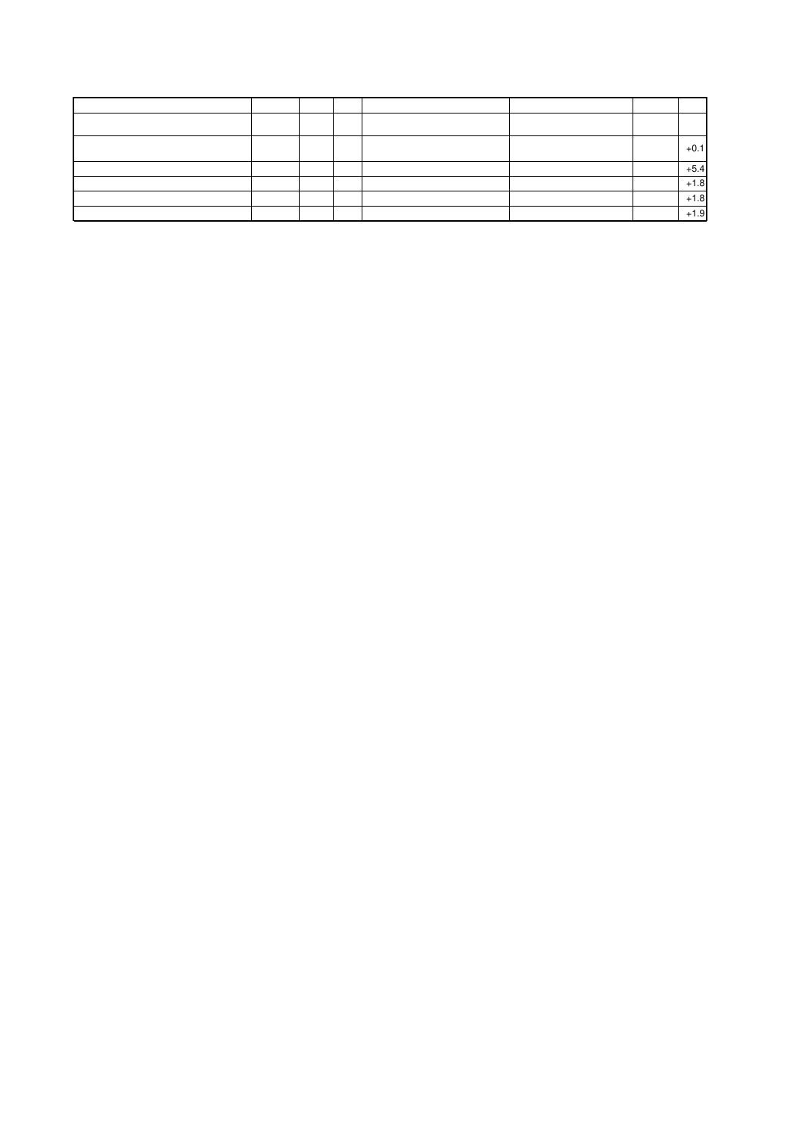|  |  |  | $+0.1$ |
|--|--|--|--------|
|  |  |  | $+5.4$ |
|  |  |  | $+1.8$ |
|  |  |  | $+1.8$ |
|  |  |  | $+1.9$ |